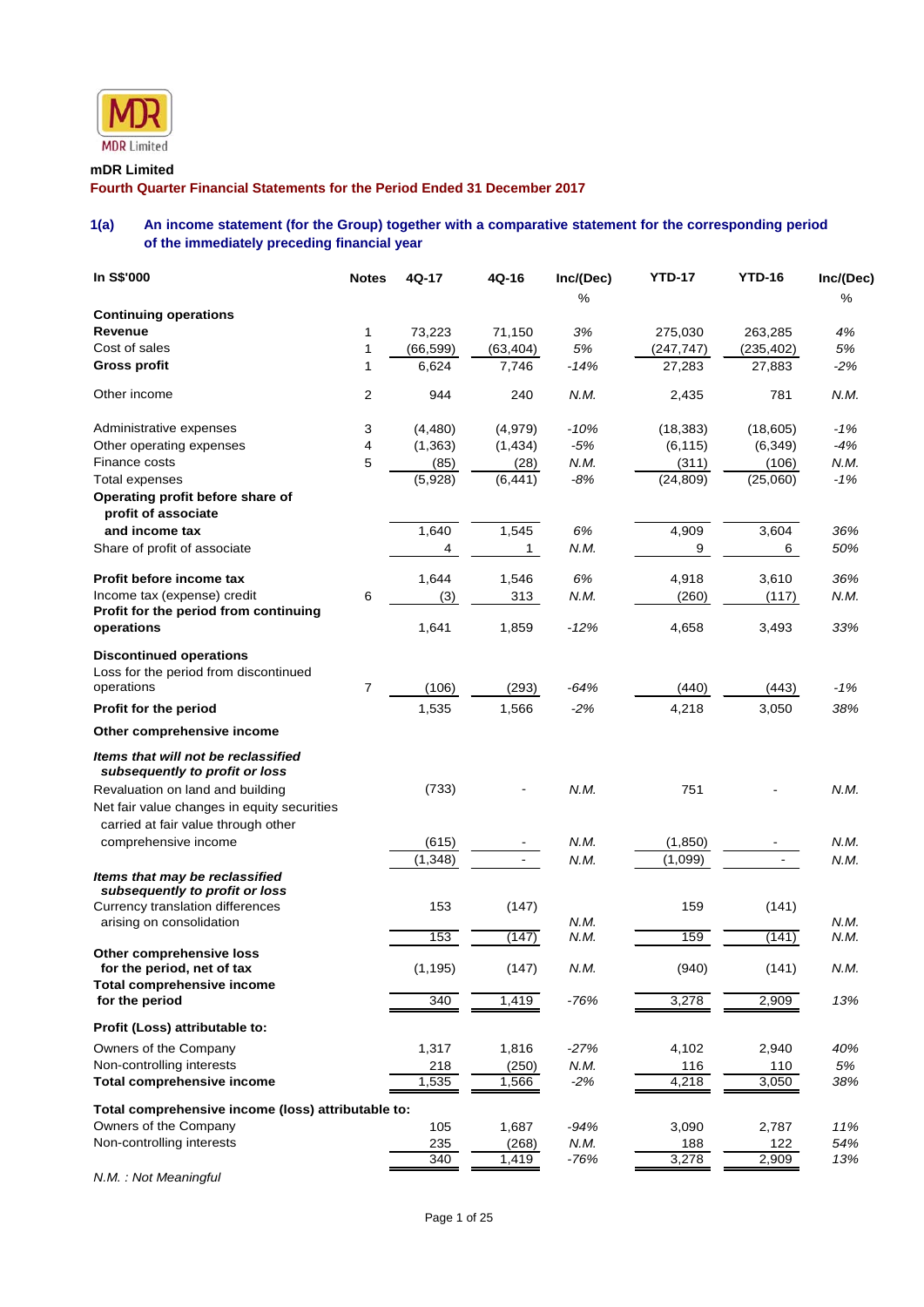

## **mDR Limited**

**Fourth Quarter Financial Statements for the Period Ended 31 December 2017** 

# **1(a) An income statement (for the Group) together with a comparative statement for the corresponding period of the immediately preceding financial year**

| In S\$'000                                                              | <b>Notes</b> | 4Q-17     | 4Q-16          | Inc/(Dec) | <b>YTD-17</b> | <b>YTD-16</b>  | Inc/(Dec) |
|-------------------------------------------------------------------------|--------------|-----------|----------------|-----------|---------------|----------------|-----------|
|                                                                         |              |           |                | %         |               |                | %         |
| <b>Continuing operations</b>                                            |              |           |                |           |               |                |           |
| Revenue                                                                 | 1            | 73,223    | 71,150         | 3%        | 275,030       | 263,285        | 4%        |
| Cost of sales                                                           | 1            | (66, 599) | (63, 404)      | 5%        | (247, 747)    | (235, 402)     | 5%        |
| <b>Gross profit</b>                                                     | 1            | 6,624     | 7,746          | -14%      | 27,283        | 27,883         | $-2%$     |
| Other income                                                            | 2            | 944       | 240            | N.M.      | 2,435         | 781            | N.M.      |
| Administrative expenses                                                 | 3            | (4, 480)  | (4,979)        | -10%      | (18, 383)     | (18,605)       | $-1%$     |
| Other operating expenses                                                | 4            | (1, 363)  | (1, 434)       | $-5%$     | (6, 115)      | (6, 349)       | -4%       |
| Finance costs                                                           | 5            | (85)      | (28)           | N.M.      | (311)         | (106)          | N.M.      |
| Total expenses                                                          |              | (5,928)   | (6, 441)       | $-8%$     | (24, 809)     | (25,060)       | $-1%$     |
| Operating profit before share of                                        |              |           |                |           |               |                |           |
| profit of associate                                                     |              |           |                |           |               |                |           |
| and income tax                                                          |              | 1,640     | 1,545          | 6%        | 4,909         | 3,604          | 36%       |
| Share of profit of associate                                            |              | 4         | 1              | N.M.      | 9             | 6              | 50%       |
| Profit before income tax                                                |              | 1,644     | 1,546          | 6%        | 4,918         | 3,610          | 36%       |
| Income tax (expense) credit                                             | 6            | (3)       | 313            | N.M.      | (260)         | (117)          | N.M.      |
| Profit for the period from continuing<br>operations                     |              | 1,641     | 1,859          | $-12%$    | 4,658         | 3,493          | 33%       |
| <b>Discontinued operations</b><br>Loss for the period from discontinued |              |           |                |           |               |                |           |
| operations                                                              | 7            | (106)     | (293)          | $-64%$    | (440)         | (443)          | $-1%$     |
| Profit for the period                                                   |              | 1,535     | 1,566          | $-2%$     | 4,218         | 3,050          | 38%       |
| Other comprehensive income                                              |              |           |                |           |               |                |           |
| Items that will not be reclassified                                     |              |           |                |           |               |                |           |
| subsequently to profit or loss                                          |              |           |                |           |               |                |           |
| Revaluation on land and building                                        |              | (733)     |                | N.M.      | 751           |                | N.M.      |
| Net fair value changes in equity securities                             |              |           |                |           |               |                |           |
| carried at fair value through other                                     |              |           |                |           |               |                |           |
| comprehensive income                                                    |              | (615)     |                | N.M.      | (1,850)       |                | N.M.      |
|                                                                         |              | (1, 348)  | $\blacksquare$ | N.M.      | (1,099)       | $\blacksquare$ | N.M.      |
| Items that may be reclassified<br>subsequently to profit or loss        |              |           |                |           |               |                |           |
| <b>Currency translation differences</b>                                 |              | 153       | (147)          |           | 159           | (141)          |           |
| arising on consolidation                                                |              |           |                | N.M.      |               |                | N.M.      |
|                                                                         |              | 153       | (147)          | N.M.      | 159           | (141)          | N.M.      |
| Other comprehensive loss<br>for the period, net of tax                  |              | (1, 195)  | (147)          | N.M.      | (940)         | (141)          | N.M.      |
| <b>Total comprehensive income</b>                                       |              |           |                |           |               |                |           |
| for the period                                                          |              | 340       | 1,419          | $-76%$    | 3,278         | 2,909          | 13%       |
| Profit (Loss) attributable to:                                          |              |           |                |           |               |                |           |
| Owners of the Company                                                   |              | 1,317     | 1,816          | $-27%$    | 4,102         | 2,940          | 40%       |
| Non-controlling interests                                               |              | 218       | (250)          | N.M.      | 116           | 110            | 5%        |
| <b>Total comprehensive income</b>                                       |              | 1,535     | 1,566          | $-2%$     | 4,218         | 3,050          | 38%       |
| Total comprehensive income (loss) attributable to:                      |              |           |                |           |               |                |           |
| Owners of the Company                                                   |              | 105       | 1,687          | -94%      | 3,090         | 2,787          | 11%       |
| Non-controlling interests                                               |              | 235       | (268)          | N.M.      | 188           | 122            | 54%       |
|                                                                         |              | 340       | 1,419          | $-76%$    | 3,278         | 2,909          | 13%       |

*N.M. : Not Meaningful*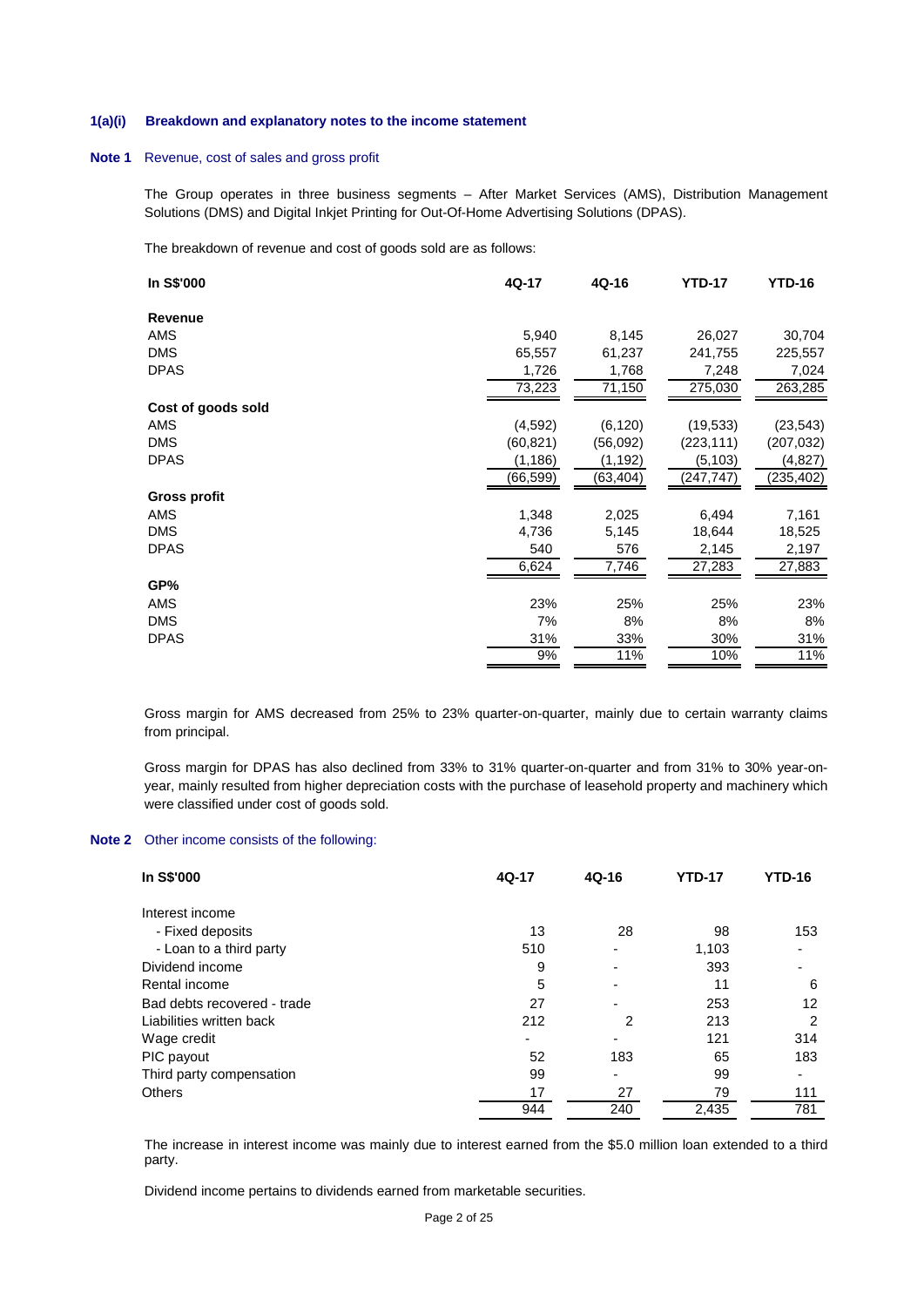#### **1(a)(i) Breakdown and explanatory notes to the income statement**

#### **Note 1** Revenue, cost of sales and gross profit

The Group operates in three business segments – After Market Services (AMS), Distribution Management Solutions (DMS) and Digital Inkjet Printing for Out-Of-Home Advertising Solutions (DPAS).

The breakdown of revenue and cost of goods sold are as follows:

| In S\$'000          | 4Q-17     | 4Q-16    | <b>YTD-17</b> | <b>YTD-16</b> |
|---------------------|-----------|----------|---------------|---------------|
| <b>Revenue</b>      |           |          |               |               |
| <b>AMS</b>          | 5,940     | 8,145    | 26,027        | 30,704        |
| <b>DMS</b>          | 65,557    | 61,237   | 241,755       | 225,557       |
| <b>DPAS</b>         | 1,726     | 1,768    | 7,248         | 7,024         |
|                     | 73,223    | 71,150   | 275,030       | 263,285       |
| Cost of goods sold  |           |          |               |               |
| AMS                 | (4,592)   | (6, 120) | (19, 533)     | (23, 543)     |
| <b>DMS</b>          | (60, 821) | (56,092) | (223, 111)    | (207, 032)    |
| <b>DPAS</b>         | (1, 186)  | (1, 192) | (5, 103)      | (4, 827)      |
|                     | (66,599)  | (63,404) | (247,747)     | (235,402)     |
| <b>Gross profit</b> |           |          |               |               |
| <b>AMS</b>          | 1,348     | 2,025    | 6,494         | 7,161         |
| <b>DMS</b>          | 4,736     | 5,145    | 18,644        | 18,525        |
| <b>DPAS</b>         | 540       | 576      | 2,145         | 2,197         |
|                     | 6,624     | 7,746    | 27,283        | 27,883        |
| GP%                 |           |          |               |               |
| AMS                 | 23%       | 25%      | 25%           | 23%           |
| <b>DMS</b>          | 7%        | 8%       | 8%            | 8%            |
| <b>DPAS</b>         | 31%       | 33%      | 30%           | 31%           |
|                     | 9%        | 11%      | 10%           | 11%           |

Gross margin for AMS decreased from 25% to 23% quarter-on-quarter, mainly due to certain warranty claims from principal.

Gross margin for DPAS has also declined from 33% to 31% quarter-on-quarter and from 31% to 30% year-onyear, mainly resulted from higher depreciation costs with the purchase of leasehold property and machinery which were classified under cost of goods sold.

#### **Note 2** Other income consists of the following:

| In S\$'000                  | 4Q-17 | 4Q-16 | <b>YTD-17</b> | <b>YTD-16</b> |
|-----------------------------|-------|-------|---------------|---------------|
| Interest income             |       |       |               |               |
| - Fixed deposits            | 13    | 28    | 98            | 153           |
| - Loan to a third party     | 510   |       | 1,103         |               |
| Dividend income             | 9     |       | 393           |               |
| Rental income               | 5     |       | 11            | 6             |
| Bad debts recovered - trade | 27    |       | 253           | 12            |
| Liabilities written back    | 212   | 2     | 213           | 2             |
| Wage credit                 | ۰     |       | 121           | 314           |
| PIC payout                  | 52    | 183   | 65            | 183           |
| Third party compensation    | 99    |       | 99            | ٠             |
| <b>Others</b>               | 17    | 27    | 79            | 111           |
|                             | 944   | 240   | 2,435         | 781           |

The increase in interest income was mainly due to interest earned from the \$5.0 million loan extended to a third party.

Dividend income pertains to dividends earned from marketable securities.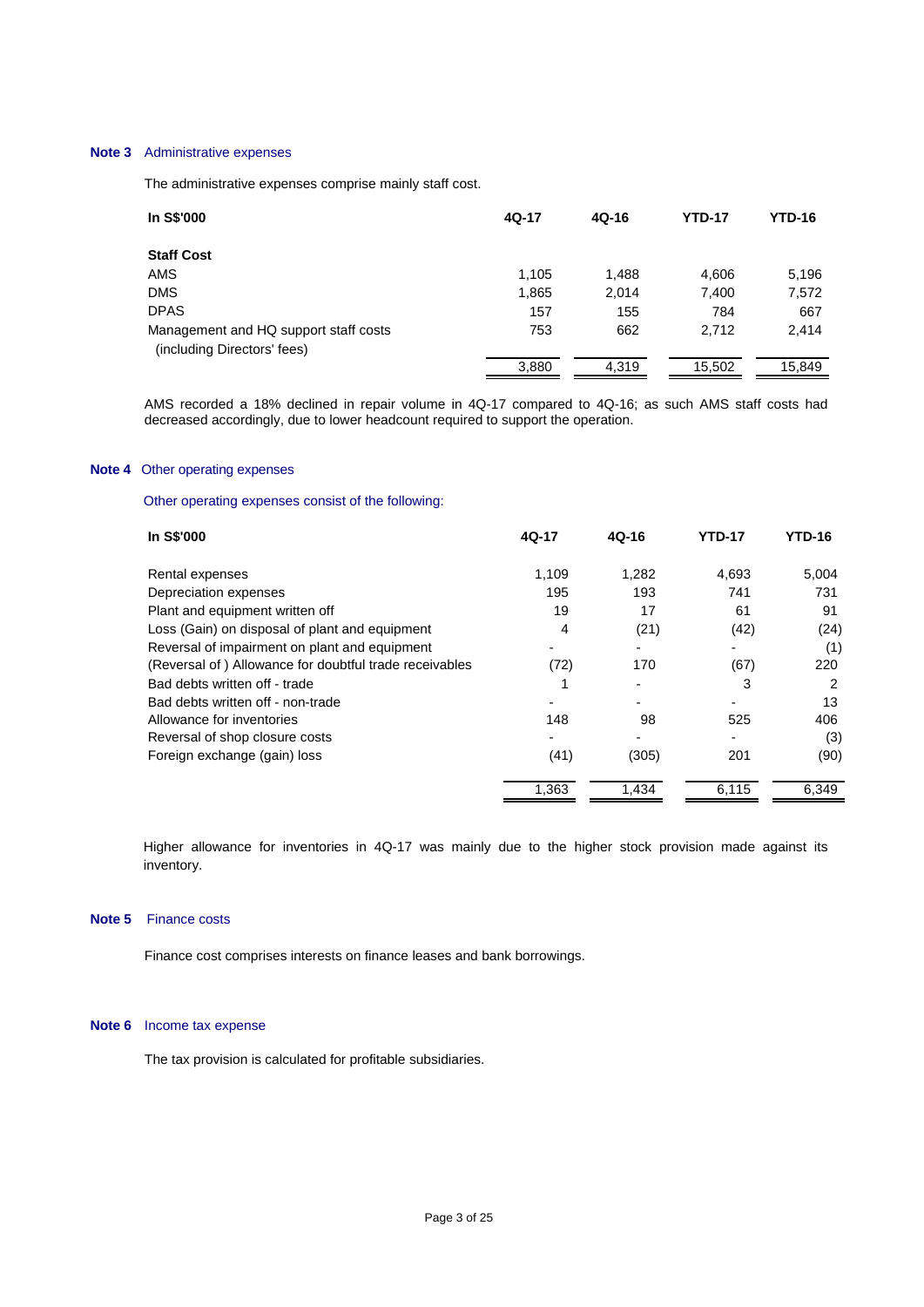### **Note 3** Administrative expenses

The administrative expenses comprise mainly staff cost.

| In S\$'000                                                           | 4Q-17 | 4Q-16 | <b>YTD-17</b> | YTD-16 |
|----------------------------------------------------------------------|-------|-------|---------------|--------|
| <b>Staff Cost</b>                                                    |       |       |               |        |
| AMS                                                                  | 1.105 | 1,488 | 4,606         | 5,196  |
| <b>DMS</b>                                                           | 1,865 | 2.014 | 7.400         | 7,572  |
| <b>DPAS</b>                                                          | 157   | 155   | 784           | 667    |
| Management and HQ support staff costs<br>(including Directors' fees) | 753   | 662   | 2,712         | 2,414  |
|                                                                      | 3,880 | 4,319 | 15,502        | 15,849 |

AMS recorded a 18% declined in repair volume in 4Q-17 compared to 4Q-16; as such AMS staff costs had decreased accordingly, due to lower headcount required to support the operation.

#### **Note 4** Other operating expenses

Other operating expenses consist of the following:

| In S\$'000                                             | 4Q-17 | $4Q-16$ | <b>YTD-17</b> | <b>YTD-16</b> |
|--------------------------------------------------------|-------|---------|---------------|---------------|
| Rental expenses                                        | 1,109 | 1,282   | 4,693         | 5,004         |
| Depreciation expenses                                  | 195   | 193     | 741           | 731           |
| Plant and equipment written off                        | 19    | 17      | 61            | 91            |
| Loss (Gain) on disposal of plant and equipment         | 4     | (21)    | (42)          | (24)          |
| Reversal of impairment on plant and equipment          |       |         |               | (1)           |
| (Reversal of) Allowance for doubtful trade receivables | (72)  | 170     | (67)          | 220           |
| Bad debts written off - trade                          |       |         | 3             | 2             |
| Bad debts written off - non-trade                      |       |         |               | 13            |
| Allowance for inventories                              | 148   | 98      | 525           | 406           |
| Reversal of shop closure costs                         |       |         |               | (3)           |
| Foreign exchange (gain) loss                           | (41)  | (305)   | 201           | (90)          |
|                                                        | 1,363 | 1,434   | 6,115         | 6,349         |

Higher allowance for inventories in 4Q-17 was mainly due to the higher stock provision made against its inventory.

#### **Note 5** Finance costs

Finance cost comprises interests on finance leases and bank borrowings.

## **Note 6** Income tax expense

The tax provision is calculated for profitable subsidiaries.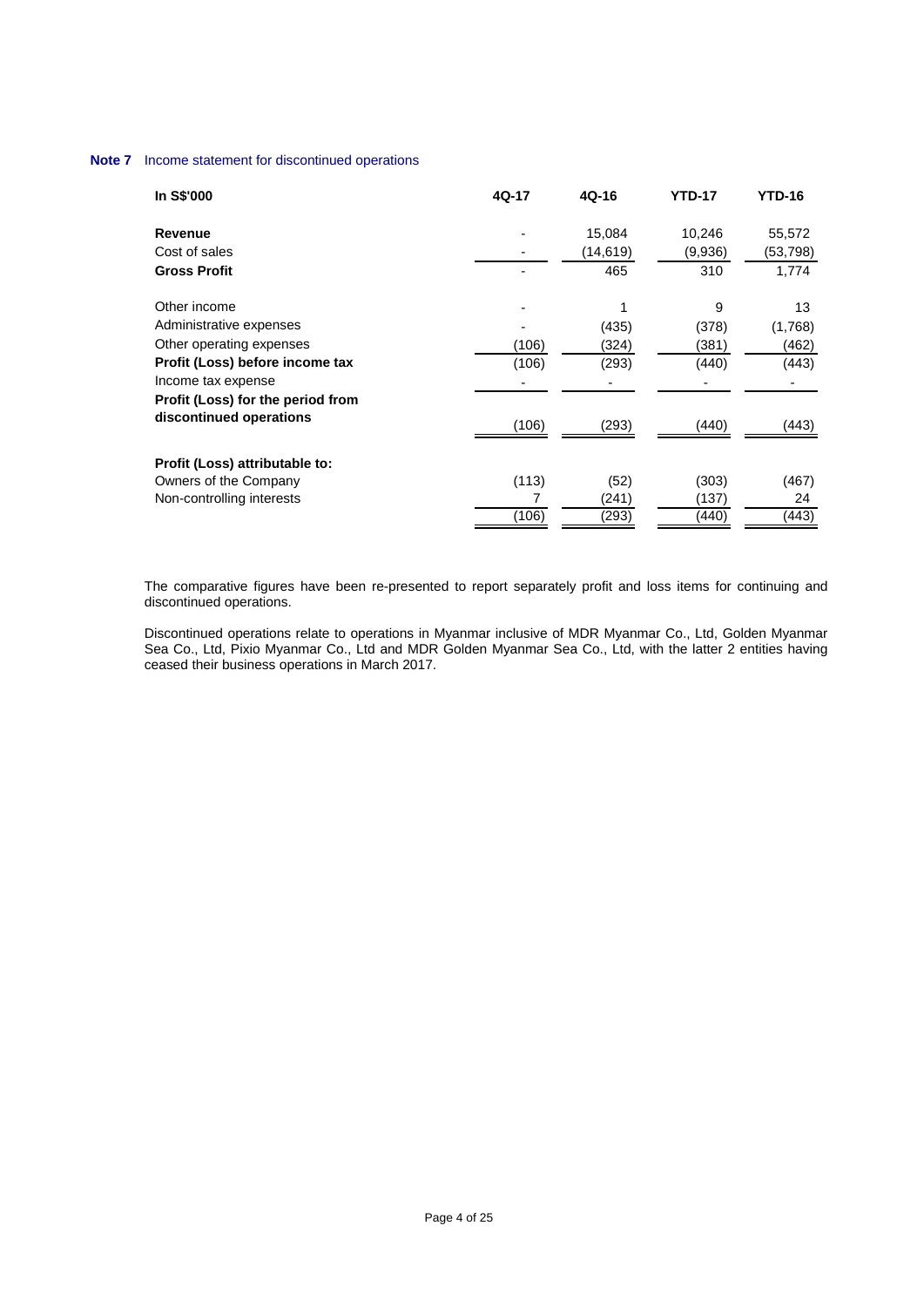## **Note 7** Income statement for discontinued operations

| In S\$'000                        | 4Q-17 | 4Q-16     | <b>YTD-17</b> | <b>YTD-16</b> |
|-----------------------------------|-------|-----------|---------------|---------------|
| Revenue                           |       | 15,084    | 10,246        | 55,572        |
| Cost of sales                     |       | (14, 619) | (9,936)       | (53,798)      |
| <b>Gross Profit</b>               |       | 465       | 310           | 1,774         |
| Other income                      |       |           | 9             | 13            |
| Administrative expenses           |       | (435)     | (378)         | (1,768)       |
| Other operating expenses          | (106) | (324)     | (381)         | (462)         |
| Profit (Loss) before income tax   | (106) | (293)     | (440)         | (443)         |
| Income tax expense                |       |           |               |               |
| Profit (Loss) for the period from |       |           |               |               |
| discontinued operations           | (106) | (293)     | (440)         | (443)         |
| Profit (Loss) attributable to:    |       |           |               |               |
| Owners of the Company             | (113) | (52)      | (303)         | (467)         |
| Non-controlling interests         |       | (241)     | (137)         | 24            |
|                                   | (106) | (293)     | (440)         | (443)         |

 The comparative figures have been re-presented to report separately profit and loss items for continuing and discontinued operations.

 Discontinued operations relate to operations in Myanmar inclusive of MDR Myanmar Co., Ltd, Golden Myanmar Sea Co., Ltd, Pixio Myanmar Co., Ltd and MDR Golden Myanmar Sea Co., Ltd, with the latter 2 entities having ceased their business operations in March 2017.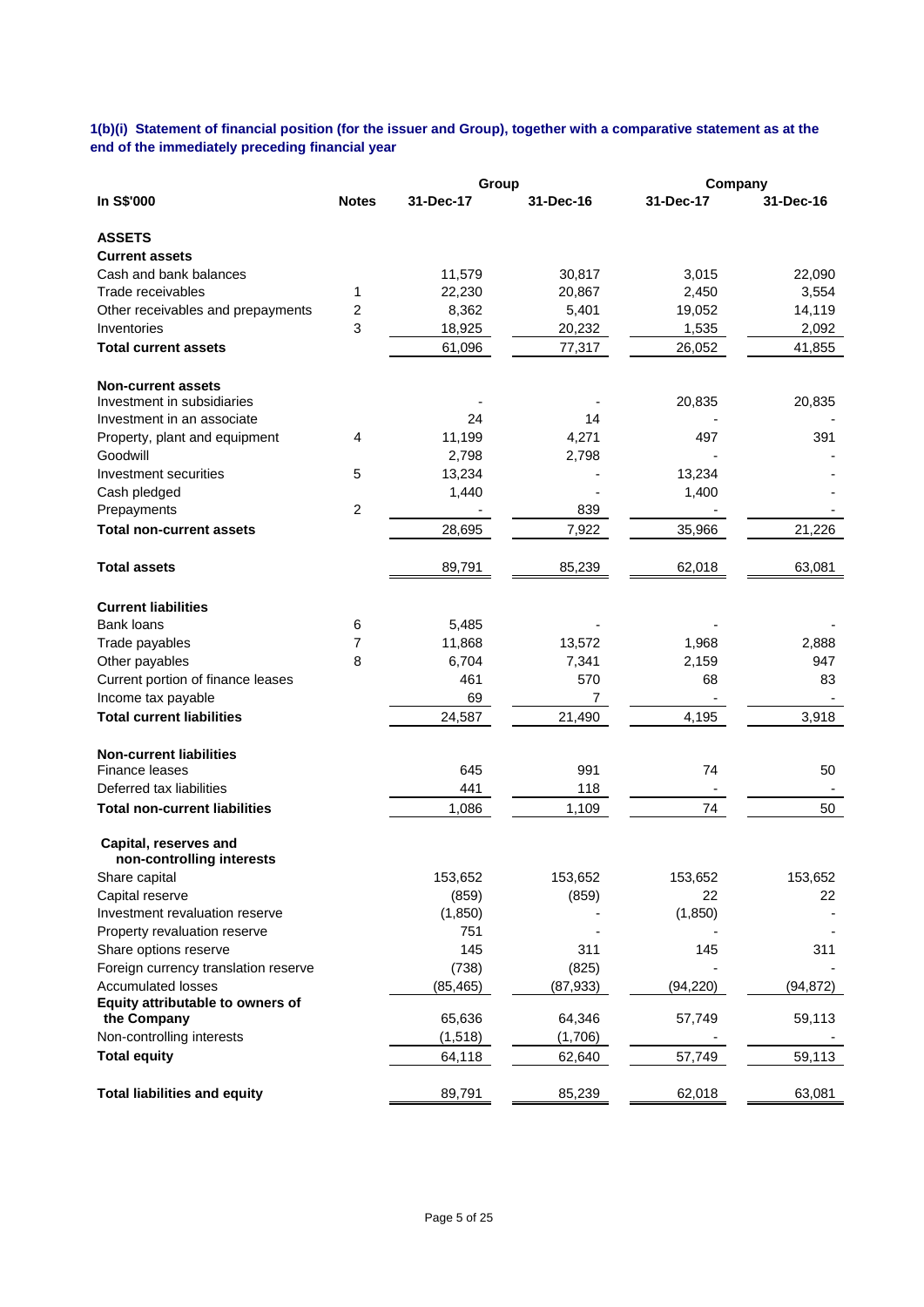**1(b)(i) Statement of financial position (for the issuer and Group), together with a comparative statement as at the end of the immediately preceding financial year** 

|                                                    |                | Group     |           | Company   |           |
|----------------------------------------------------|----------------|-----------|-----------|-----------|-----------|
| In S\$'000                                         | <b>Notes</b>   | 31-Dec-17 | 31-Dec-16 | 31-Dec-17 | 31-Dec-16 |
| <b>ASSETS</b>                                      |                |           |           |           |           |
| <b>Current assets</b>                              |                |           |           |           |           |
| Cash and bank balances                             |                | 11,579    | 30,817    | 3,015     | 22,090    |
| Trade receivables                                  | 1              | 22,230    | 20,867    | 2,450     | 3,554     |
| Other receivables and prepayments                  | 2              | 8,362     | 5,401     | 19,052    | 14,119    |
| Inventories                                        | 3              | 18,925    | 20,232    | 1,535     | 2,092     |
| <b>Total current assets</b>                        |                | 61,096    | 77,317    | 26,052    | 41,855    |
| <b>Non-current assets</b>                          |                |           |           |           |           |
| Investment in subsidiaries                         |                |           |           | 20,835    | 20,835    |
| Investment in an associate                         |                | 24        | 14        |           |           |
| Property, plant and equipment                      | 4              | 11,199    | 4,271     | 497       | 391       |
| Goodwill                                           |                | 2,798     | 2,798     |           |           |
| Investment securities                              | 5              | 13,234    |           | 13,234    |           |
| Cash pledged                                       |                | 1,440     |           | 1,400     |           |
| Prepayments                                        | $\overline{c}$ |           | 839       |           |           |
| <b>Total non-current assets</b>                    |                | 28,695    | 7,922     | 35,966    | 21,226    |
| <b>Total assets</b>                                |                | 89,791    | 85,239    | 62,018    | 63,081    |
| <b>Current liabilities</b>                         |                |           |           |           |           |
| <b>Bank loans</b>                                  | 6              | 5,485     |           |           |           |
| Trade payables                                     | 7              | 11,868    | 13,572    | 1,968     | 2,888     |
| Other payables                                     | 8              | 6,704     | 7,341     | 2,159     | 947       |
| Current portion of finance leases                  |                | 461       | 570       | 68        | 83        |
| Income tax payable                                 |                | 69        | 7         |           |           |
| <b>Total current liabilities</b>                   |                | 24,587    | 21,490    | 4,195     | 3,918     |
| <b>Non-current liabilities</b>                     |                |           |           |           |           |
| <b>Finance leases</b>                              |                | 645       | 991       | 74        | 50        |
| Deferred tax liabilities                           |                | 441       | 118       |           |           |
| <b>Total non-current liabilities</b>               |                | 1,086     | 1,109     | 74        | 50        |
| Capital, reserves and<br>non-controlling interests |                |           |           |           |           |
| Share capital                                      |                | 153,652   | 153,652   | 153,652   | 153,652   |
| Capital reserve                                    |                | (859)     | (859)     | 22        | 22        |
| Investment revaluation reserve                     |                | (1,850)   |           | (1, 850)  |           |
| Property revaluation reserve                       |                | 751       |           |           |           |
| Share options reserve                              |                | 145       | 311       | 145       | 311       |
| Foreign currency translation reserve               |                | (738)     | (825)     |           |           |
| <b>Accumulated losses</b>                          |                | (85, 465) | (87, 933) | (94, 220) | (94, 872) |
| Equity attributable to owners of                   |                |           |           |           |           |
| the Company                                        |                | 65,636    | 64,346    | 57,749    | 59,113    |
| Non-controlling interests                          |                | (1,518)   | (1,706)   |           |           |
| <b>Total equity</b>                                |                | 64,118    | 62,640    | 57,749    | 59,113    |
| <b>Total liabilities and equity</b>                |                | 89,791    | 85,239    | 62,018    | 63,081    |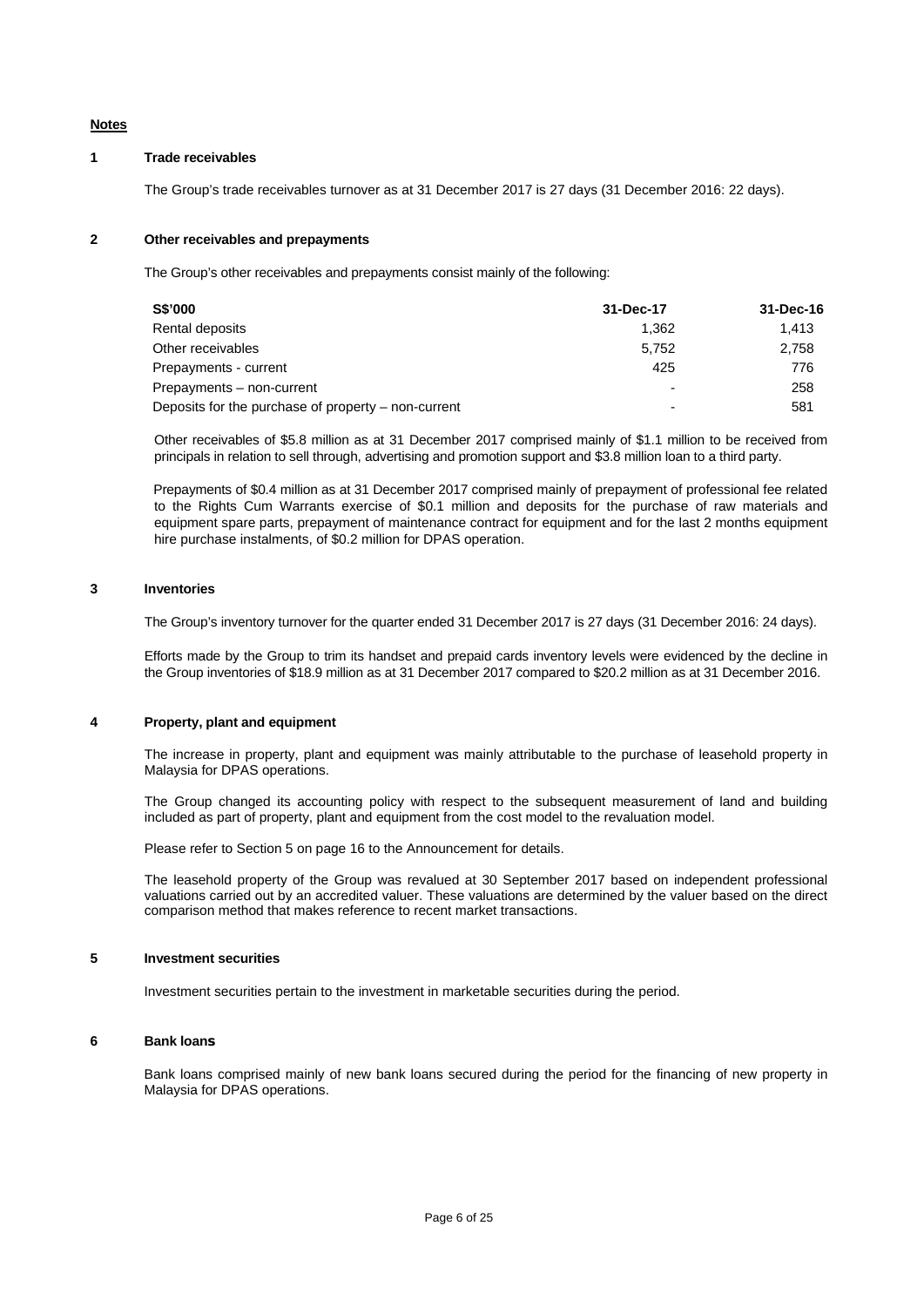### **Notes**

#### **1 Trade receivables**

The Group's trade receivables turnover as at 31 December 2017 is 27 days (31 December 2016: 22 days).

#### **2 Other receivables and prepayments**

The Group's other receivables and prepayments consist mainly of the following:

| <b>S\$'000</b>                                      | 31-Dec-17 | 31-Dec-16 |
|-----------------------------------------------------|-----------|-----------|
| Rental deposits                                     | 1.362     | 1.413     |
| Other receivables                                   | 5.752     | 2.758     |
| Prepayments - current                               | 425       | 776       |
| Prepayments - non-current                           |           | 258       |
| Deposits for the purchase of property – non-current |           | 581       |

Other receivables of \$5.8 million as at 31 December 2017 comprised mainly of \$1.1 million to be received from principals in relation to sell through, advertising and promotion support and \$3.8 million loan to a third party.

Prepayments of \$0.4 million as at 31 December 2017 comprised mainly of prepayment of professional fee related to the Rights Cum Warrants exercise of \$0.1 million and deposits for the purchase of raw materials and equipment spare parts, prepayment of maintenance contract for equipment and for the last 2 months equipment hire purchase instalments, of \$0.2 million for DPAS operation.

## **3 Inventories**

The Group's inventory turnover for the quarter ended 31 December 2017 is 27 days (31 December 2016: 24 days).

 Efforts made by the Group to trim its handset and prepaid cards inventory levels were evidenced by the decline in the Group inventories of \$18.9 million as at 31 December 2017 compared to \$20.2 million as at 31 December 2016.

### **4 Property, plant and equipment**

 The increase in property, plant and equipment was mainly attributable to the purchase of leasehold property in Malaysia for DPAS operations.

The Group changed its accounting policy with respect to the subsequent measurement of land and building included as part of property, plant and equipment from the cost model to the revaluation model.

Please refer to Section 5 on page 16 to the Announcement for details.

The leasehold property of the Group was revalued at 30 September 2017 based on independent professional valuations carried out by an accredited valuer. These valuations are determined by the valuer based on the direct comparison method that makes reference to recent market transactions.

### **5 Investment securities**

Investment securities pertain to the investment in marketable securities during the period.

#### **6 Bank loans**

Bank loans comprised mainly of new bank loans secured during the period for the financing of new property in Malaysia for DPAS operations.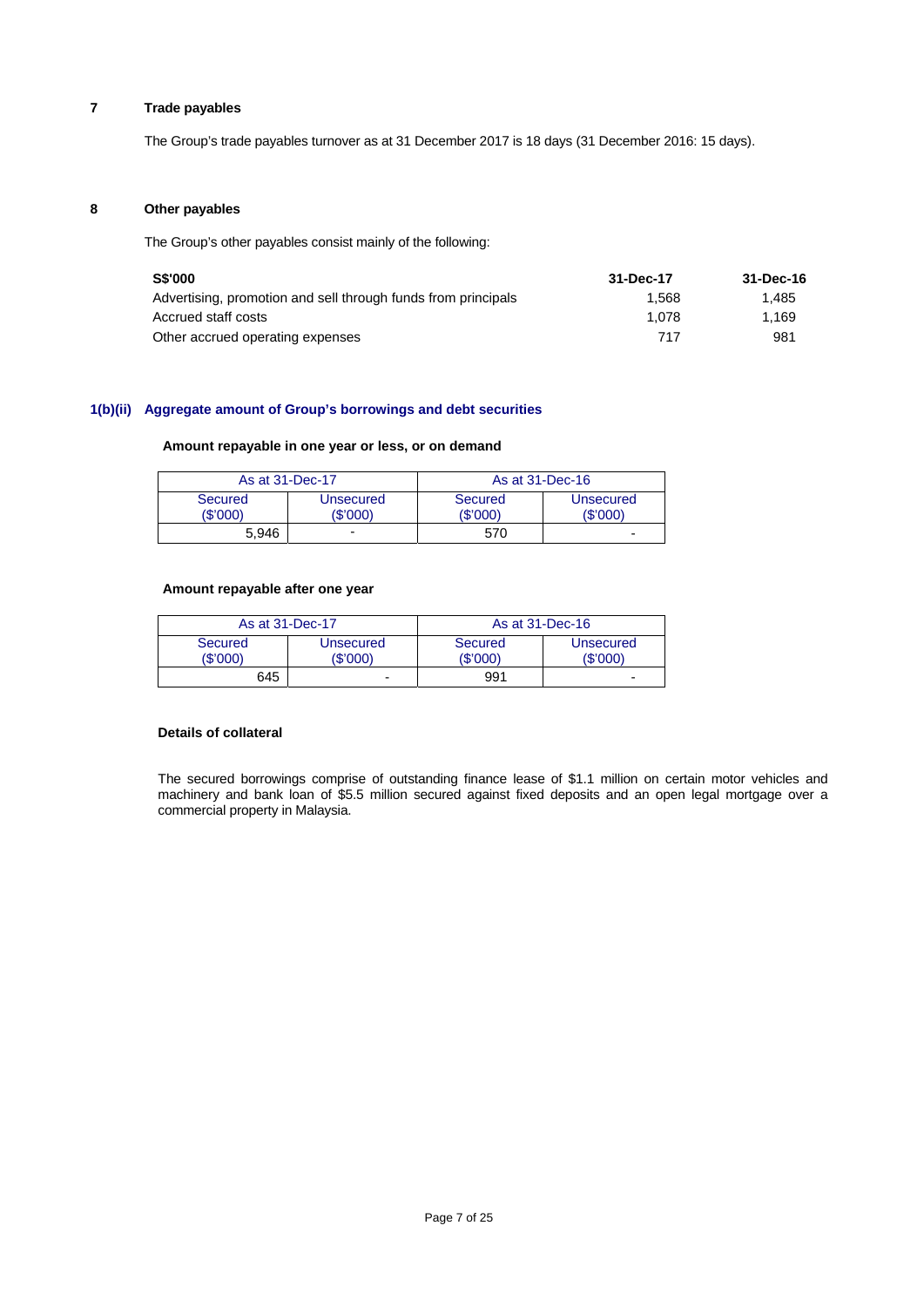# **7 Trade payables**

The Group's trade payables turnover as at 31 December 2017 is 18 days (31 December 2016: 15 days).

## **8 Other payables**

The Group's other payables consist mainly of the following:

| <b>S\$'000</b>                                                | 31-Dec-17 | 31-Dec-16 |
|---------------------------------------------------------------|-----------|-----------|
| Advertising, promotion and sell through funds from principals | 1.568     | 1.485     |
| Accrued staff costs                                           | 1.078     | 1.169     |
| Other accrued operating expenses                              | 717       | 981       |

# **1(b)(ii) Aggregate amount of Group's borrowings and debt securities**

## **Amount repayable in one year or less, or on demand**

| As at 31-Dec-17     |                       | As at 31-Dec-16     |                       |
|---------------------|-----------------------|---------------------|-----------------------|
| Secured<br>(\$'000) | Unsecured<br>'\$'000) | Secured<br>(\$'000) | Unsecured<br>(\$'000) |
| 5.946               | -                     | 570                 | ۰                     |

## **Amount repayable after one year**

| As at 31-Dec-17     |                      | As at 31-Dec-16   |                       |  |
|---------------------|----------------------|-------------------|-----------------------|--|
| Secured<br>(\$'000) | Unsecured<br>(\$'000 | Secured<br>'S'000 | Unsecured<br>(\$'000) |  |
| 645                 | -                    | 991               | -                     |  |

# **Details of collateral**

The secured borrowings comprise of outstanding finance lease of \$1.1 million on certain motor vehicles and machinery and bank loan of \$5.5 million secured against fixed deposits and an open legal mortgage over a commercial property in Malaysia.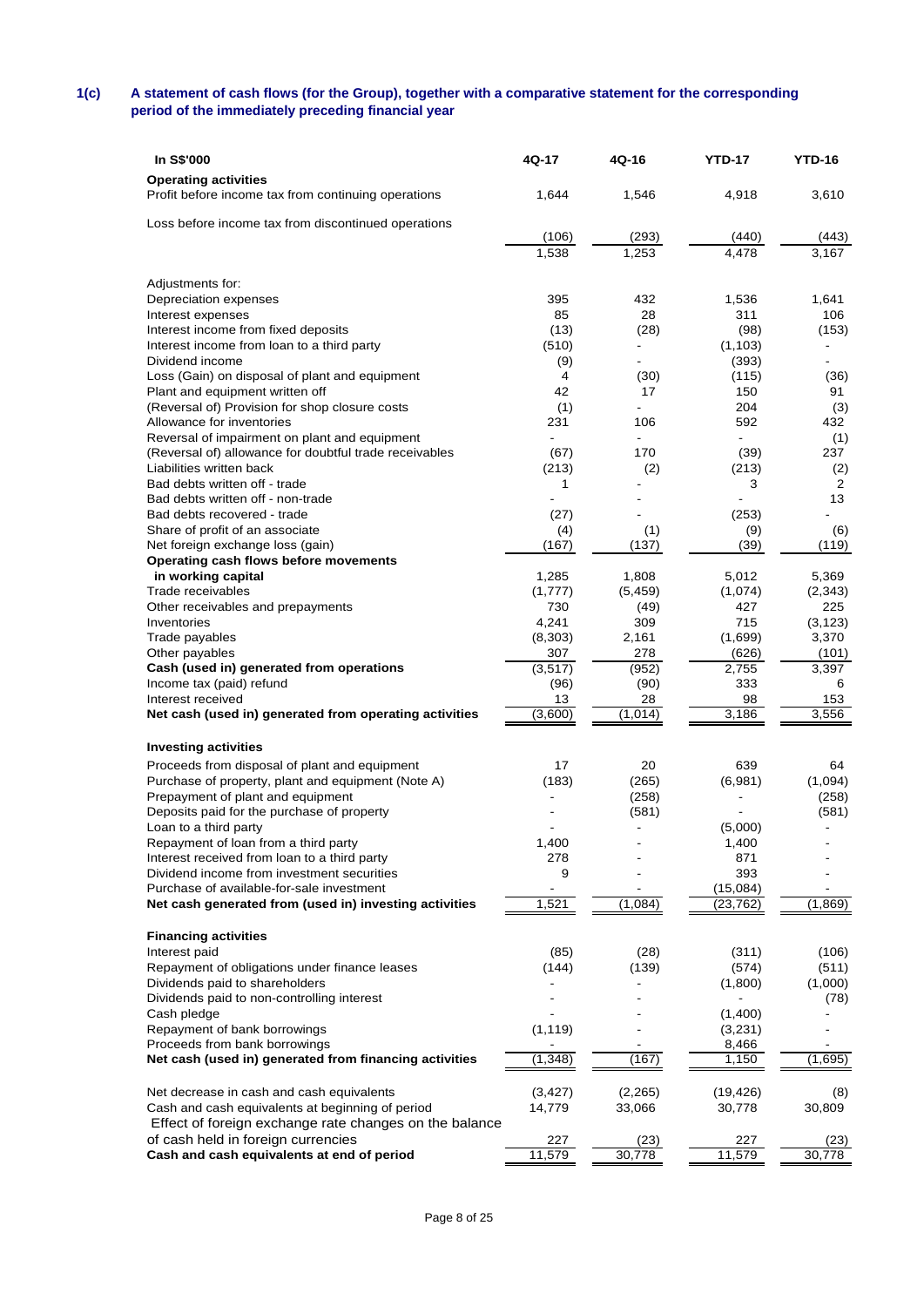### **1(c) A statement of cash flows (for the Group), together with a comparative statement for the corresponding period of the immediately preceding financial year**

| In S\$'000                                                                                              | 4Q-17        | 4Q-16                        | <b>YTD-17</b>         | <b>YTD-16</b>            |
|---------------------------------------------------------------------------------------------------------|--------------|------------------------------|-----------------------|--------------------------|
| <b>Operating activities</b>                                                                             |              |                              |                       |                          |
| Profit before income tax from continuing operations                                                     | 1,644        | 1,546                        | 4,918                 | 3,610                    |
| Loss before income tax from discontinued operations                                                     |              |                              |                       |                          |
|                                                                                                         | (106)        | (293)                        | (440)                 | (443)                    |
|                                                                                                         | 1,538        | 1,253                        | 4,478                 | 3,167                    |
| Adjustments for:                                                                                        |              |                              |                       |                          |
| Depreciation expenses                                                                                   | 395          | 432                          | 1,536                 | 1,641                    |
| Interest expenses                                                                                       | 85           | 28                           | 311                   | 106                      |
| Interest income from fixed deposits                                                                     | (13)         | (28)                         | (98)                  | (153)                    |
| Interest income from loan to a third party                                                              | (510)        |                              | (1, 103)              |                          |
| Dividend income                                                                                         | (9)          |                              | (393)                 | $\overline{\phantom{0}}$ |
| Loss (Gain) on disposal of plant and equipment                                                          | 4            | (30)                         | (115)                 | (36)                     |
| Plant and equipment written off                                                                         | 42           | 17                           | 150                   | 91                       |
| (Reversal of) Provision for shop closure costs                                                          | (1)          |                              | 204                   | (3)                      |
| Allowance for inventories                                                                               | 231          | 106                          | 592<br>$\overline{a}$ | 432                      |
| Reversal of impairment on plant and equipment<br>(Reversal of) allowance for doubtful trade receivables | (67)         | 170                          | (39)                  | (1)<br>237               |
| Liabilities written back                                                                                | (213)        | (2)                          | (213)                 | (2)                      |
| Bad debts written off - trade                                                                           | 1            |                              | 3                     | $\overline{2}$           |
| Bad debts written off - non-trade                                                                       |              |                              |                       | 13                       |
| Bad debts recovered - trade                                                                             | (27)         |                              | (253)                 |                          |
| Share of profit of an associate                                                                         | (4)          | (1)                          | (9)                   | (6)                      |
| Net foreign exchange loss (gain)                                                                        | (167)        | (137)                        | (39)                  | (119)                    |
| Operating cash flows before movements                                                                   |              |                              |                       |                          |
| in working capital                                                                                      | 1,285        | 1,808                        | 5,012                 | 5,369                    |
| Trade receivables                                                                                       | (1,777)      | (5,459)                      | (1,074)               | (2, 343)                 |
| Other receivables and prepayments                                                                       | 730          | (49)                         | 427                   | 225                      |
| Inventories                                                                                             | 4,241        | 309                          | 715                   | (3, 123)                 |
| Trade payables                                                                                          | (8,303)      | 2,161                        | (1,699)               | 3,370                    |
| Other payables                                                                                          | 307          | 278                          | (626)                 | (101)                    |
| Cash (used in) generated from operations                                                                | (3, 517)     | (952)                        | 2,755                 | 3,397                    |
| Income tax (paid) refund<br>Interest received                                                           | (96)<br>13   | (90)<br>28                   | 333<br>98             | 6<br>153                 |
| Net cash (used in) generated from operating activities                                                  | (3,600)      | (1,014)                      | 3,186                 | 3,556                    |
|                                                                                                         |              |                              |                       |                          |
| <b>Investing activities</b>                                                                             |              |                              |                       |                          |
| Proceeds from disposal of plant and equipment                                                           | 17           | 20                           | 639                   | 64                       |
| Purchase of property, plant and equipment (Note A)                                                      | (183)        | (265)                        | (6,981)               | (1,094)                  |
| Prepayment of plant and equipment                                                                       |              | (258)                        |                       | (258)                    |
| Deposits paid for the purchase of property                                                              |              | (581)                        |                       | (581)                    |
| Loan to a third party                                                                                   |              | $\qquad \qquad \blacksquare$ | (5,000)               |                          |
| Repayment of loan from a third party<br>Interest received from loan to a third party                    | 1,400<br>278 |                              | 1,400<br>871          |                          |
| Dividend income from investment securities                                                              | 9            |                              | 393                   |                          |
| Purchase of available-for-sale investment                                                               |              |                              | (15,084)              |                          |
| Net cash generated from (used in) investing activities                                                  | 1,521        | (1,084)                      | (23, 762)             | (1,869)                  |
|                                                                                                         |              |                              |                       |                          |
| <b>Financing activities</b>                                                                             |              |                              |                       |                          |
| Interest paid                                                                                           | (85)         | (28)                         | (311)                 | (106)                    |
| Repayment of obligations under finance leases                                                           | (144)        | (139)                        | (574)                 | (511)                    |
| Dividends paid to shareholders<br>Dividends paid to non-controlling interest                            |              |                              | (1,800)               | (1,000)                  |
| Cash pledge                                                                                             |              |                              | (1,400)               | (78)                     |
| Repayment of bank borrowings                                                                            | (1, 119)     |                              | (3,231)               |                          |
| Proceeds from bank borrowings                                                                           |              |                              | 8,466                 |                          |
| Net cash (used in) generated from financing activities                                                  | (1, 348)     | (167)                        | 1,150                 | (1,695)                  |
|                                                                                                         |              |                              |                       |                          |
| Net decrease in cash and cash equivalents                                                               | (3, 427)     | (2,265)                      | (19, 426)             | (8)                      |
| Cash and cash equivalents at beginning of period                                                        | 14,779       | 33,066                       | 30,778                | 30,809                   |
| Effect of foreign exchange rate changes on the balance                                                  |              |                              |                       |                          |
| of cash held in foreign currencies                                                                      | 227          | (23)                         | 227                   | (23)                     |
| Cash and cash equivalents at end of period                                                              | 11,579       | 30,778                       | 11,579                | 30,778                   |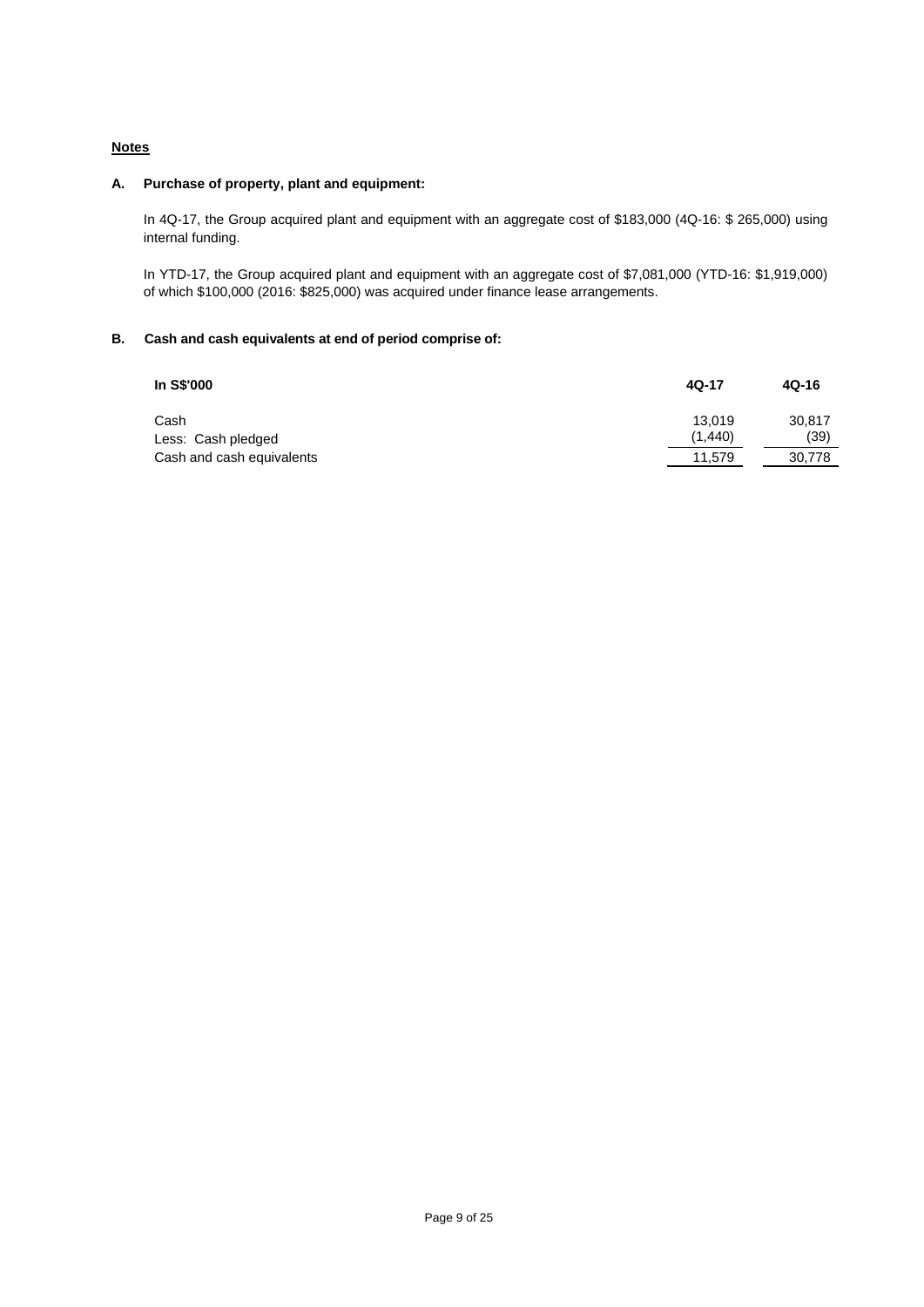# **Notes**

## **A. Purchase of property, plant and equipment:**

In 4Q-17, the Group acquired plant and equipment with an aggregate cost of \$183,000 (4Q-16: \$ 265,000) using internal funding.

In YTD-17, the Group acquired plant and equipment with an aggregate cost of \$7,081,000 (YTD-16: \$1,919,000) of which \$100,000 (2016: \$825,000) was acquired under finance lease arrangements.

# **B. Cash and cash equivalents at end of period comprise of:**

| In S\$'000                                      | 4Q-17             | $4Q-16$        |
|-------------------------------------------------|-------------------|----------------|
| Cash                                            | 13.019<br>(1,440) | 30.817<br>(39) |
| Less: Cash pledged<br>Cash and cash equivalents | 11.579            | 30,778         |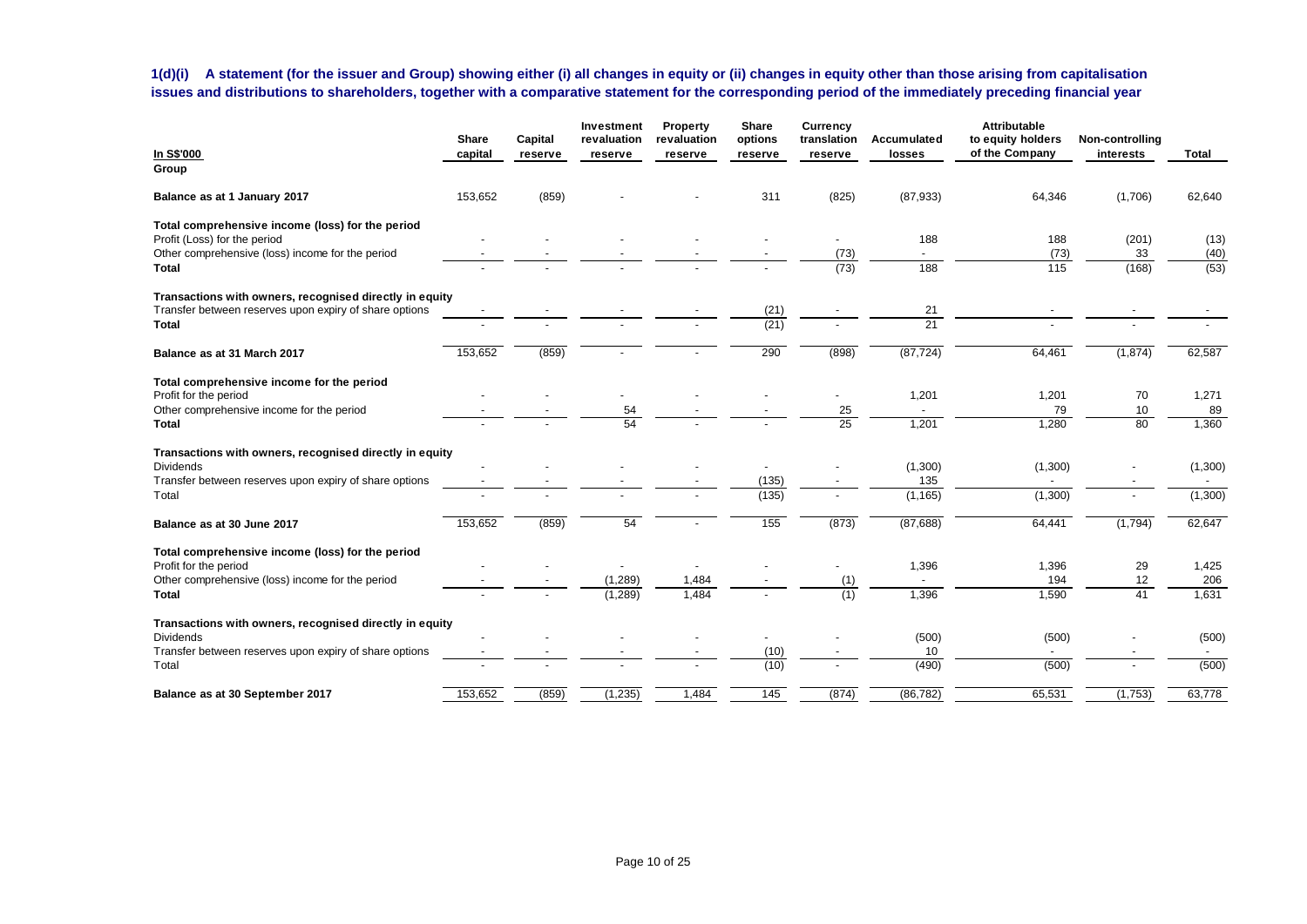# **1(d)(i) A statement (for the issuer and Group) showing either (i) all changes in equity or (ii) changes in equity other than those arising from capitalisation issues and distributions to shareholders, together with a comparative statement for the corresponding period of the immediately preceding financial year**

| In S\$'000<br>Group                                                                                                                                  | Share<br>capital | Capital<br>reserve | Investment<br>revaluation<br>reserve | Property<br>revaluation<br>reserve | <b>Share</b><br>options<br>reserve | Currency<br>translation<br>reserve | Accumulated<br>losses | <b>Attributable</b><br>to equity holders<br>of the Company | Non-controlling<br>interests | Total                |
|------------------------------------------------------------------------------------------------------------------------------------------------------|------------------|--------------------|--------------------------------------|------------------------------------|------------------------------------|------------------------------------|-----------------------|------------------------------------------------------------|------------------------------|----------------------|
| Balance as at 1 January 2017                                                                                                                         | 153,652          | (859)              |                                      |                                    | 311                                | (825)                              | (87, 933)             | 64,346                                                     | (1,706)                      | 62,640               |
| Total comprehensive income (loss) for the period<br>Profit (Loss) for the period<br>Other comprehensive (loss) income for the period<br><b>Total</b> |                  |                    |                                      |                                    |                                    | (73)<br>(73)                       | 188<br>188            | 188<br>(73)<br>115                                         | (201)<br>33<br>(168)         | (13)<br>(40)<br>(53) |
| Transactions with owners, recognised directly in equity                                                                                              |                  |                    |                                      |                                    |                                    |                                    |                       |                                                            |                              |                      |
| Transfer between reserves upon expiry of share options<br><b>Total</b>                                                                               |                  |                    |                                      |                                    | (21)<br>(21)                       |                                    | 21<br>$\overline{21}$ |                                                            |                              |                      |
| Balance as at 31 March 2017                                                                                                                          | 153,652          | (859)              |                                      |                                    | 290                                | (898)                              | (87, 724)             | 64,461                                                     | (1,874)                      | 62,587               |
| Total comprehensive income for the period<br>Profit for the period<br>Other comprehensive income for the period                                      |                  |                    |                                      |                                    |                                    |                                    | 1,201                 | 1,201<br>79                                                | 70<br>10                     | 1,271<br>89          |
| <b>Total</b>                                                                                                                                         |                  |                    | 54<br>54                             |                                    |                                    | 25<br>25                           | 1,201                 | 1,280                                                      | 80                           | 1,360                |
| Transactions with owners, recognised directly in equity<br><b>Dividends</b><br>Transfer between reserves upon expiry of share options                |                  |                    |                                      |                                    | (135)                              |                                    | (1,300)<br>135        | (1,300)                                                    | $\overline{\phantom{a}}$     | (1,300)<br>$\sim$    |
| Total                                                                                                                                                |                  |                    |                                      |                                    | (135)                              |                                    | (1, 165)              | (1,300)                                                    |                              | (1,300)              |
| Balance as at 30 June 2017                                                                                                                           | 153,652          | (859)              | 54                                   |                                    | 155                                | (873)                              | (87, 688)             | 64,441                                                     | (1,794)                      | 62,647               |
| Total comprehensive income (loss) for the period<br>Profit for the period                                                                            |                  |                    |                                      |                                    |                                    |                                    | 1,396                 | 1,396                                                      | 29                           | 1,425                |
| Other comprehensive (loss) income for the period<br><b>Total</b>                                                                                     |                  |                    | (1, 289)<br>(1, 289)                 | 1,484<br>1,484                     |                                    | (1)<br>(1)                         | 1,396                 | 194<br>1,590                                               | 12<br>41                     | 206<br>1,631         |
| Transactions with owners, recognised directly in equity                                                                                              |                  |                    |                                      |                                    |                                    |                                    |                       |                                                            |                              |                      |
| <b>Dividends</b><br>Transfer between reserves upon expiry of share options<br>Total                                                                  |                  |                    |                                      |                                    | (10)<br>(10)                       |                                    | (500)<br>10<br>(490)  | (500)<br>(500)                                             |                              | (500)<br>(500)       |
| Balance as at 30 September 2017                                                                                                                      | 153,652          | (859)              | (1, 235)                             | 1,484                              | 145                                | (874)                              | (86, 782)             | 65,531                                                     | (1,753)                      | 63,778               |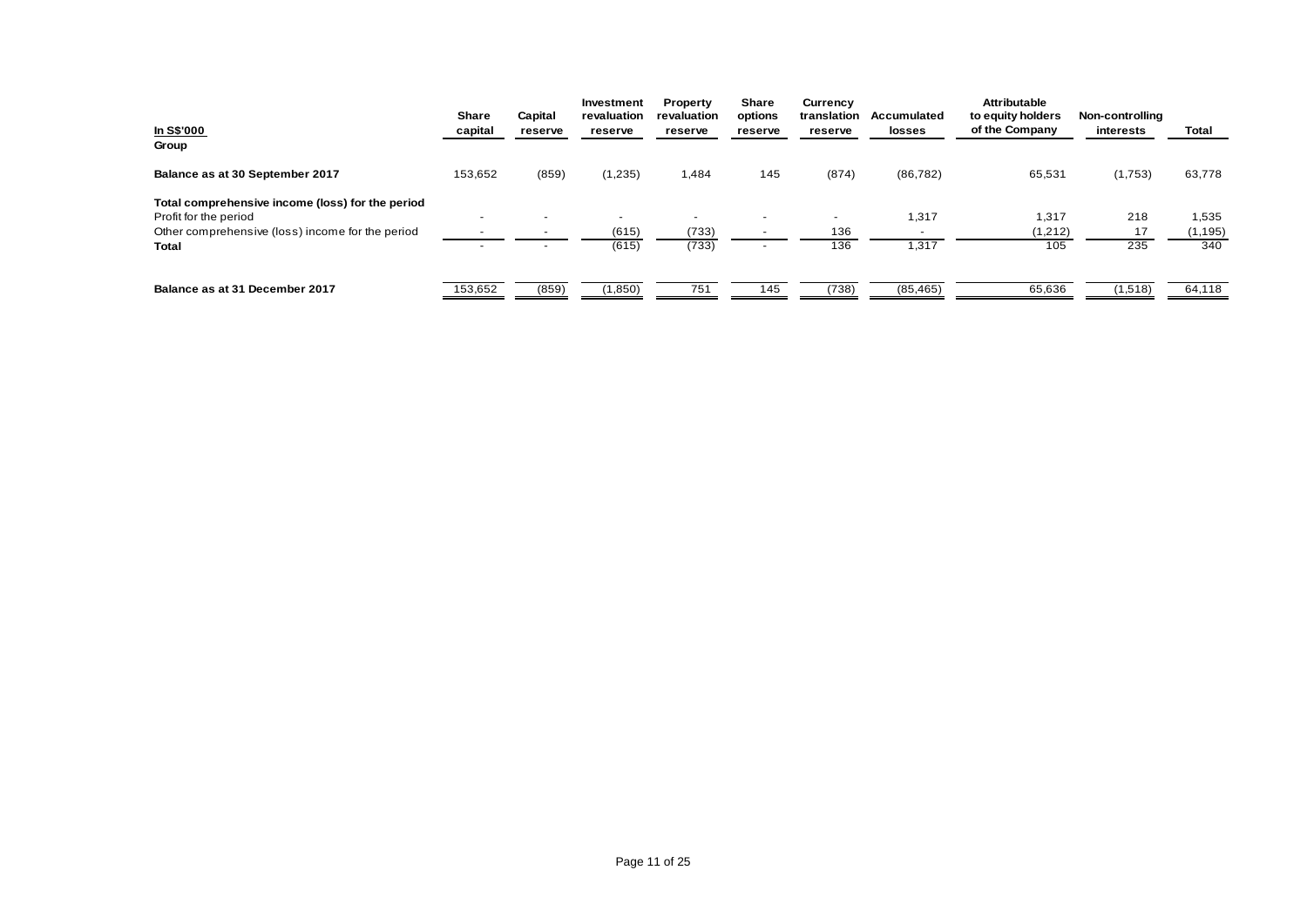| In S\$'000<br>Group                                                                                                                    | Share<br>capital | Capital<br>reserve | Investment<br>revaluation<br>reserve | <b>Property</b><br>revaluation<br>reserve | Share<br>options<br>reserve | <b>Currency</b><br>translation<br>reserve | <b>Accumulated</b><br>losses | <b>Attributable</b><br>to equity holders<br>of the Company | Non-controlling<br>interests | Total                    |
|----------------------------------------------------------------------------------------------------------------------------------------|------------------|--------------------|--------------------------------------|-------------------------------------------|-----------------------------|-------------------------------------------|------------------------------|------------------------------------------------------------|------------------------------|--------------------------|
| Balance as at 30 September 2017                                                                                                        | 153,652          | (859)              | (1,235)                              | 484, ا                                    | 145                         | (874)                                     | (86, 782)                    | 65,531                                                     | (1,753)                      | 63,778                   |
| Total comprehensive income (loss) for the period<br>Profit for the period<br>Other comprehensive (loss) income for the period<br>Total |                  |                    | (615)<br>(615)                       | (733)<br>(733)                            | $\overline{\phantom{a}}$    | -<br>136<br>136                           | 1,317<br>1,317               | 1.317<br>(1,212)<br>105                                    | 218<br>17<br>235             | 1,535<br>(1, 195)<br>340 |
| Balance as at 31 December 2017                                                                                                         | 153,652          | (859)              | (1, 850)                             | 751                                       | 145                         | (738)                                     | (85, 465)                    | 65,636                                                     | (1,518)                      | 64,118                   |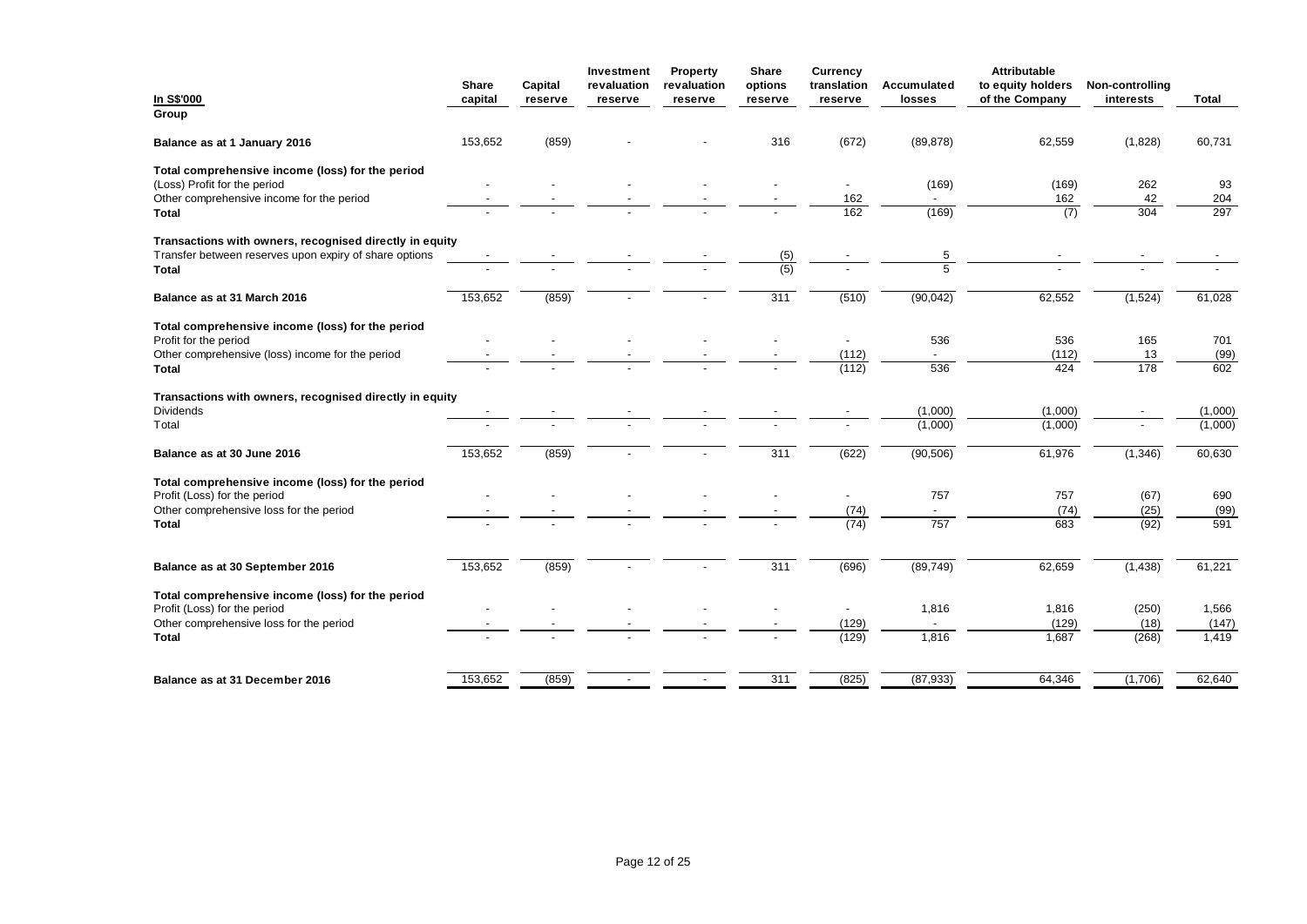| In S\$'000<br>Group                                                                                                                           | <b>Share</b><br>capital | Capital<br>reserve | Investment<br>revaluation<br>reserve | Property<br>revaluation<br>reserve | Share<br>options<br>reserve | <b>Currency</b><br>translation<br>reserve | Accumulated<br>losses | <b>Attributable</b><br>to equity holders<br>of the Company | Non-controlling<br>interests | <b>Total</b>            |
|-----------------------------------------------------------------------------------------------------------------------------------------------|-------------------------|--------------------|--------------------------------------|------------------------------------|-----------------------------|-------------------------------------------|-----------------------|------------------------------------------------------------|------------------------------|-------------------------|
| Balance as at 1 January 2016                                                                                                                  | 153,652                 | (859)              |                                      |                                    | 316                         | (672)                                     | (89, 878)             | 62,559                                                     | (1,828)                      | 60,731                  |
| Total comprehensive income (loss) for the period<br>(Loss) Profit for the period<br>Other comprehensive income for the period<br><b>Total</b> |                         |                    |                                      |                                    |                             | 162<br>162                                | (169)<br>(169)        | (169)<br>162<br>(7)                                        | 262<br>42<br>304             | 93<br>204<br>297        |
| Transactions with owners, recognised directly in equity                                                                                       |                         |                    |                                      |                                    |                             |                                           |                       |                                                            |                              |                         |
| Transfer between reserves upon expiry of share options<br>Total                                                                               |                         |                    |                                      |                                    | (5)<br>$\overline{(5)}$     |                                           | 5<br>$\overline{5}$   |                                                            |                              |                         |
| Balance as at 31 March 2016                                                                                                                   | 153,652                 | (859)              |                                      |                                    | 311                         | (510)                                     | (90, 042)             | 62,552                                                     | (1,524)                      | 61,028                  |
| Total comprehensive income (loss) for the period<br>Profit for the period<br>Other comprehensive (loss) income for the period<br><b>Total</b> |                         |                    |                                      |                                    |                             | (112)<br>(112)                            | 536<br>536            | 536<br>(112)<br>424                                        | 165<br>13<br>178             | 701<br>(99)<br>602      |
| Transactions with owners, recognised directly in equity<br><b>Dividends</b><br>Total                                                          |                         |                    |                                      |                                    |                             |                                           | (1,000)<br>(1,000)    | (1,000)<br>(1,000)                                         |                              | (1,000)<br>(1,000)      |
| Balance as at 30 June 2016                                                                                                                    | 153,652                 | (859)              |                                      |                                    | 311                         | (622)                                     | (90, 506)             | 61,976                                                     | (1, 346)                     | 60,630                  |
| Total comprehensive income (loss) for the period<br>Profit (Loss) for the period<br>Other comprehensive loss for the period<br><b>Total</b>   |                         |                    |                                      |                                    |                             | (74)<br>(74)                              | 757<br>757            | 757<br>(74)<br>683                                         | (67)<br>(25)<br>(92)         | 690<br>(99)<br>591      |
| Balance as at 30 September 2016                                                                                                               | 153,652                 | (859)              |                                      |                                    | 311                         | (696)                                     | (89, 749)             | 62,659                                                     | (1, 438)                     | 61,221                  |
| Total comprehensive income (loss) for the period<br>Profit (Loss) for the period<br>Other comprehensive loss for the period<br>Total          |                         |                    |                                      |                                    |                             | (129)<br>(129)                            | 1,816<br>1,816        | 1,816<br>(129)<br>1,687                                    | (250)<br>(18)<br>(268)       | 1,566<br>(147)<br>1,419 |
| Balance as at 31 December 2016                                                                                                                | 153,652                 | (859)              |                                      |                                    | 311                         | (825)                                     | (87, 933)             | 64,346                                                     | (1,706)                      | 62,640                  |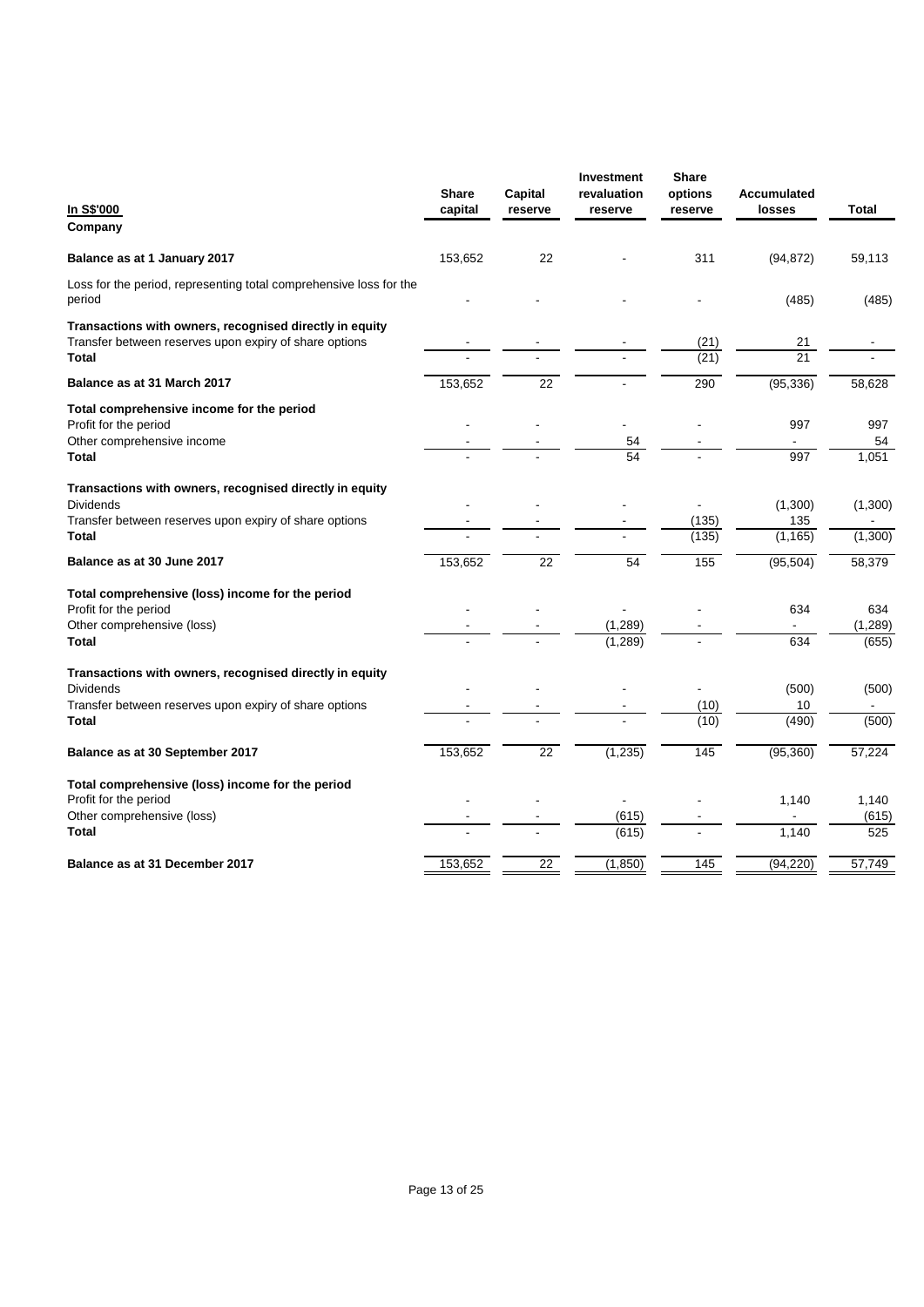| In S\$'000<br>Company                                                                                                                                 | <b>Share</b><br>capital | Capital<br>reserve | <b>Investment</b><br>revaluation<br>reserve | Share<br>options<br>reserve | Accumulated<br>losses      | Total                    |
|-------------------------------------------------------------------------------------------------------------------------------------------------------|-------------------------|--------------------|---------------------------------------------|-----------------------------|----------------------------|--------------------------|
| Balance as at 1 January 2017                                                                                                                          | 153,652                 | 22                 |                                             | 311                         | (94, 872)                  | 59,113                   |
| Loss for the period, representing total comprehensive loss for the<br>period                                                                          |                         |                    |                                             |                             | (485)                      | (485)                    |
| Transactions with owners, recognised directly in equity<br>Transfer between reserves upon expiry of share options<br><b>Total</b>                     |                         |                    |                                             | (21)<br>(21)                | 21<br>21                   |                          |
| Balance as at 31 March 2017                                                                                                                           | 153,652                 | $\overline{22}$    |                                             | 290                         | (95, 336)                  | 58,628                   |
| Total comprehensive income for the period<br>Profit for the period<br>Other comprehensive income<br><b>Total</b>                                      |                         |                    | 54<br>54                                    |                             | 997<br>997                 | 997<br>54<br>1,051       |
| Transactions with owners, recognised directly in equity<br><b>Dividends</b><br>Transfer between reserves upon expiry of share options<br><b>Total</b> |                         |                    |                                             | (135)<br>(135)              | (1,300)<br>135<br>(1, 165) | (1,300)<br>(1,300)       |
| Balance as at 30 June 2017                                                                                                                            | 153,652                 | $\overline{22}$    | $\overline{54}$                             | 155                         | (95, 504)                  | 58,379                   |
| Total comprehensive (loss) income for the period<br>Profit for the period<br>Other comprehensive (loss)<br><b>Total</b>                               |                         |                    | (1, 289)<br>(1, 289)                        |                             | 634<br>634                 | 634<br>(1, 289)<br>(655) |
| Transactions with owners, recognised directly in equity<br><b>Dividends</b><br>Transfer between reserves upon expiry of share options<br><b>Total</b> |                         |                    |                                             | (10)<br>(10)                | (500)<br>10<br>(490)       | (500)<br>(500)           |
| Balance as at 30 September 2017                                                                                                                       | 153,652                 | $\overline{22}$    | (1, 235)                                    | 145                         | (95, 360)                  | 57,224                   |
| Total comprehensive (loss) income for the period<br>Profit for the period<br>Other comprehensive (loss)<br><b>Total</b>                               |                         |                    | (615)<br>(615)                              |                             | 1,140<br>1,140             | 1,140<br>(615)<br>525    |
| Balance as at 31 December 2017                                                                                                                        | 153,652                 | $\overline{22}$    | (1, 850)                                    | 145                         | (94, 220)                  | 57.749                   |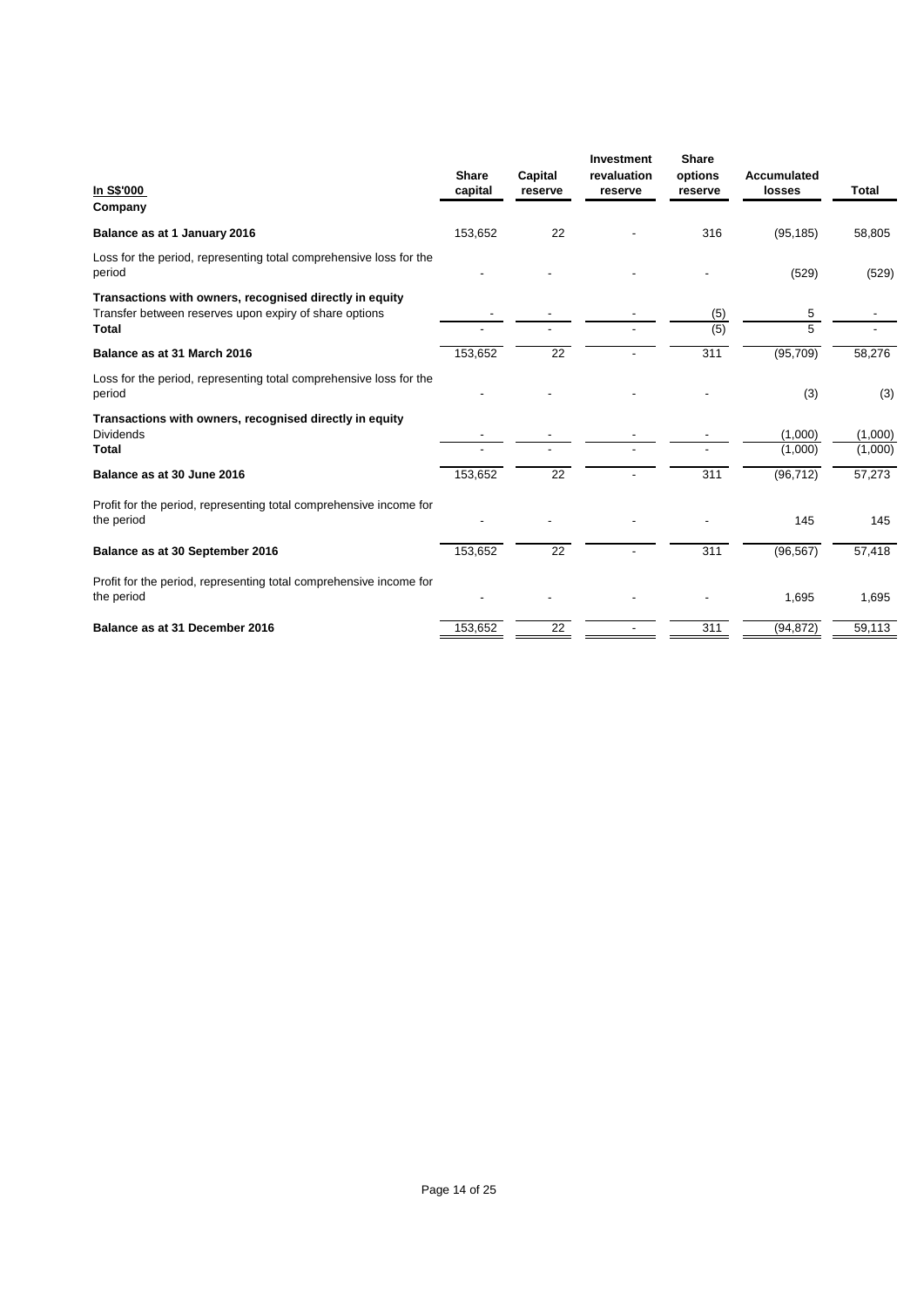| In S\$'000<br>Company                                                                                                      | <b>Share</b><br>capital | Capital<br>reserve | Investment<br>revaluation<br>reserve | <b>Share</b><br>options<br>reserve | <b>Accumulated</b><br>losses | Total              |
|----------------------------------------------------------------------------------------------------------------------------|-------------------------|--------------------|--------------------------------------|------------------------------------|------------------------------|--------------------|
| Balance as at 1 January 2016                                                                                               | 153,652                 | 22                 |                                      | 316                                | (95, 185)                    | 58,805             |
| Loss for the period, representing total comprehensive loss for the<br>period                                               |                         |                    |                                      |                                    | (529)                        | (529)              |
| Transactions with owners, recognised directly in equity<br>Transfer between reserves upon expiry of share options<br>Total |                         |                    |                                      | (5)<br>$\overline{(5)}$            | 5<br>5                       |                    |
| Balance as at 31 March 2016                                                                                                | 153,652                 | 22                 |                                      | 311                                | (95, 709)                    | 58,276             |
| Loss for the period, representing total comprehensive loss for the<br>period                                               |                         |                    |                                      |                                    | (3)                          | (3)                |
| Transactions with owners, recognised directly in equity<br><b>Dividends</b><br><b>Total</b>                                |                         |                    |                                      |                                    | (1,000)<br>(1,000)           | (1,000)<br>(1,000) |
| Balance as at 30 June 2016                                                                                                 | 153,652                 | 22                 |                                      | 311                                | (96, 712)                    | 57,273             |
| Profit for the period, representing total comprehensive income for<br>the period                                           |                         |                    |                                      |                                    | 145                          | 145                |
| Balance as at 30 September 2016                                                                                            | 153,652                 | 22                 |                                      | 311                                | (96, 567)                    | 57,418             |
| Profit for the period, representing total comprehensive income for<br>the period                                           |                         |                    |                                      |                                    | 1,695                        | 1,695              |
| Balance as at 31 December 2016                                                                                             | 153,652                 | 22                 |                                      | 311                                | (94, 872)                    | 59,113             |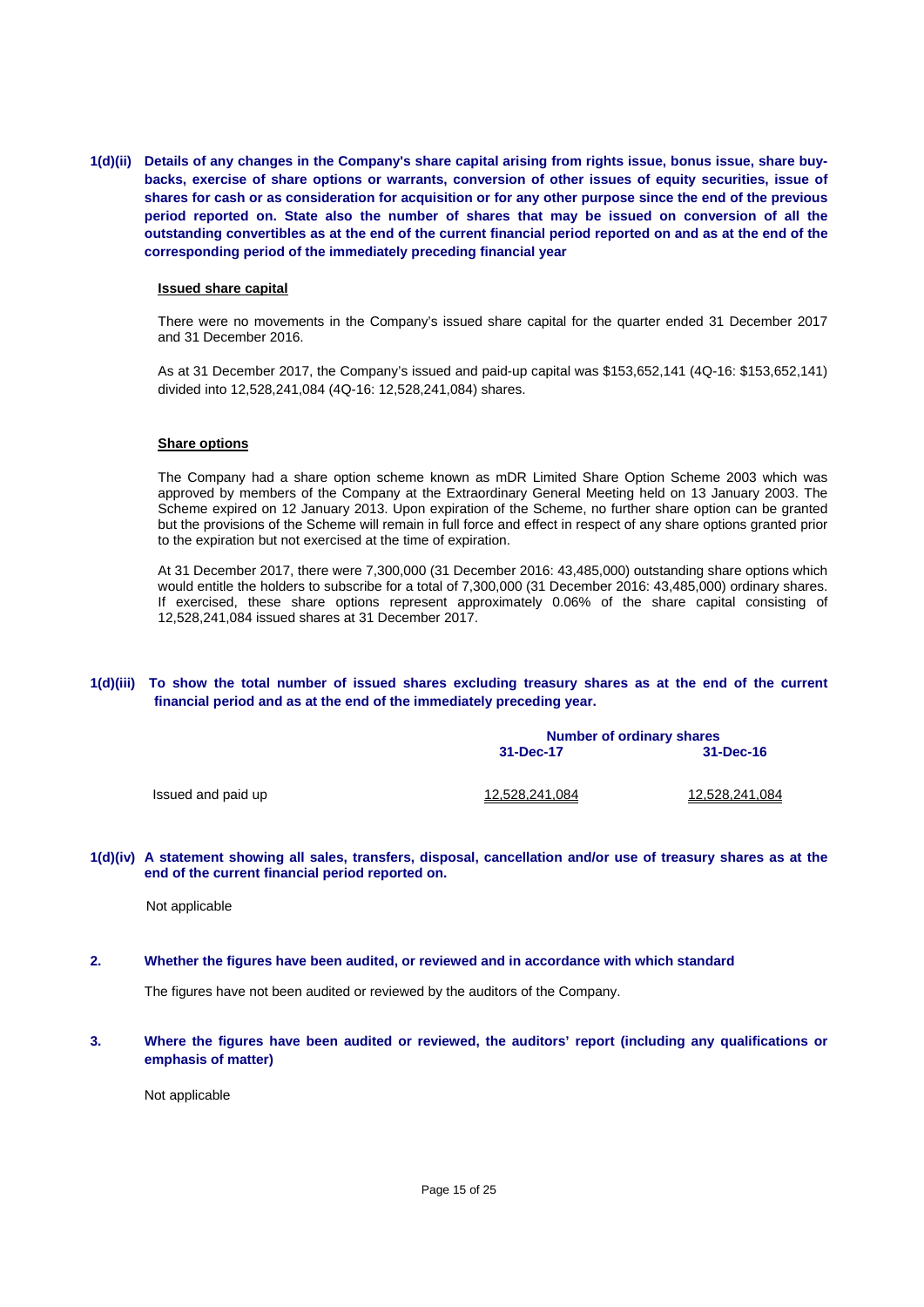**1(d)(ii) Details of any changes in the Company's share capital arising from rights issue, bonus issue, share buybacks, exercise of share options or warrants, conversion of other issues of equity securities, issue of shares for cash or as consideration for acquisition or for any other purpose since the end of the previous period reported on. State also the number of shares that may be issued on conversion of all the outstanding convertibles as at the end of the current financial period reported on and as at the end of the corresponding period of the immediately preceding financial year** 

### **Issued share capital**

There were no movements in the Company's issued share capital for the quarter ended 31 December 2017 and 31 December 2016.

As at 31 December 2017, the Company's issued and paid-up capital was \$153,652,141 (4Q-16: \$153,652,141) divided into 12,528,241,084 (4Q-16: 12,528,241,084) shares.

### **Share options**

The Company had a share option scheme known as mDR Limited Share Option Scheme 2003 which was approved by members of the Company at the Extraordinary General Meeting held on 13 January 2003. The Scheme expired on 12 January 2013. Upon expiration of the Scheme, no further share option can be granted but the provisions of the Scheme will remain in full force and effect in respect of any share options granted prior to the expiration but not exercised at the time of expiration.

At 31 December 2017, there were 7,300,000 (31 December 2016: 43,485,000) outstanding share options which would entitle the holders to subscribe for a total of 7,300,000 (31 December 2016: 43,485,000) ordinary shares. If exercised, these share options represent approximately 0.06% of the share capital consisting of 12,528,241,084 issued shares at 31 December 2017.

## **1(d)(iii) To show the total number of issued shares excluding treasury shares as at the end of the current financial period and as at the end of the immediately preceding year.**

|                    | <b>Number of ordinary shares</b> |                 |  |
|--------------------|----------------------------------|-----------------|--|
|                    | 31-Dec-17                        | $31 - Dec - 16$ |  |
| Issued and paid up | 12,528,241,084                   | 12,528,241,084  |  |

### **1(d)(iv) A statement showing all sales, transfers, disposal, cancellation and/or use of treasury shares as at the end of the current financial period reported on.**

Not applicable

## **2. Whether the figures have been audited, or reviewed and in accordance with which standard**

The figures have not been audited or reviewed by the auditors of the Company.

**3. Where the figures have been audited or reviewed, the auditors' report (including any qualifications or emphasis of matter)** 

Not applicable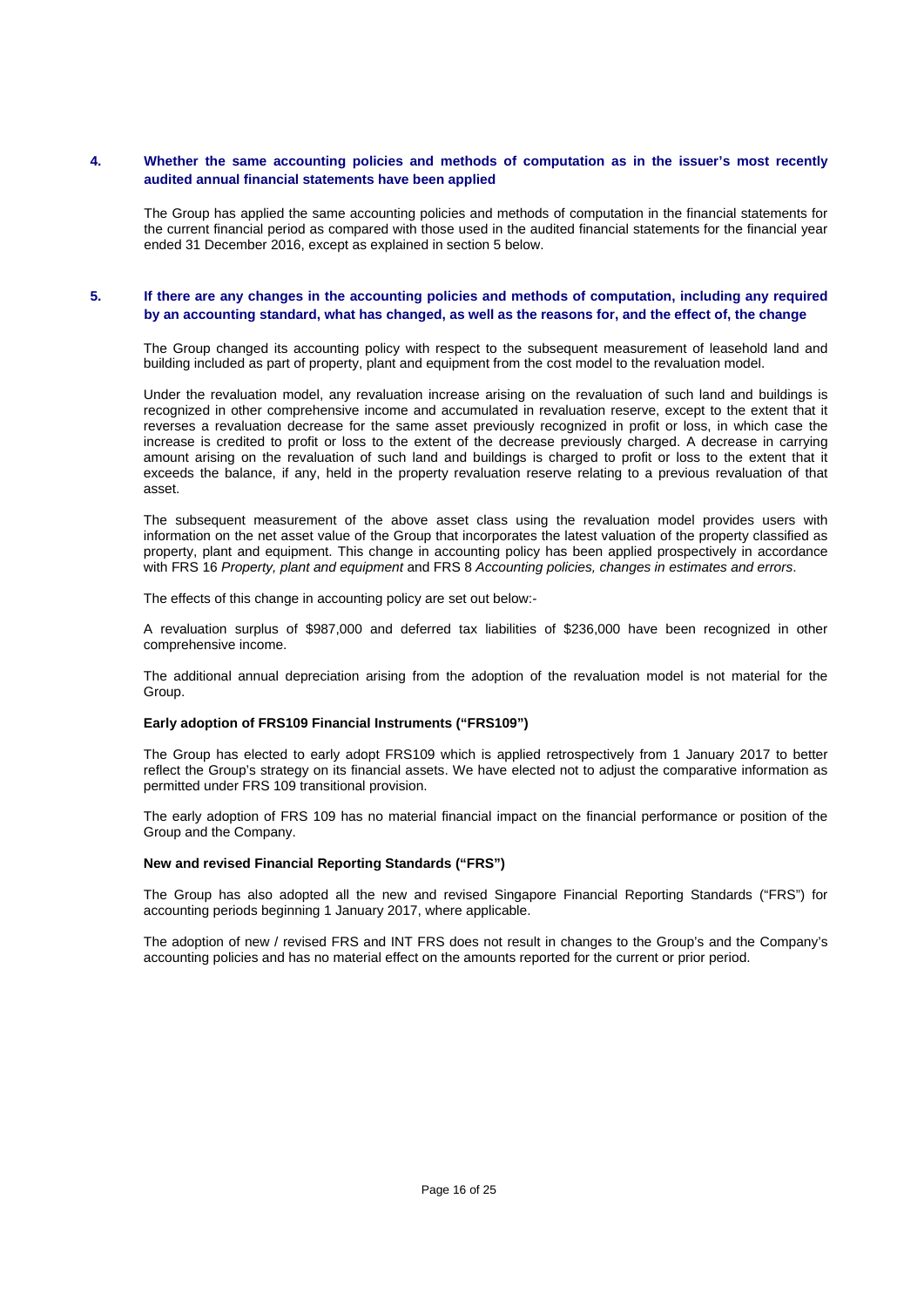## **4. Whether the same accounting policies and methods of computation as in the issuer's most recently audited annual financial statements have been applied**

The Group has applied the same accounting policies and methods of computation in the financial statements for the current financial period as compared with those used in the audited financial statements for the financial year ended 31 December 2016, except as explained in section 5 below.

## **5. If there are any changes in the accounting policies and methods of computation, including any required by an accounting standard, what has changed, as well as the reasons for, and the effect of, the change**

The Group changed its accounting policy with respect to the subsequent measurement of leasehold land and building included as part of property, plant and equipment from the cost model to the revaluation model.

Under the revaluation model, any revaluation increase arising on the revaluation of such land and buildings is recognized in other comprehensive income and accumulated in revaluation reserve, except to the extent that it reverses a revaluation decrease for the same asset previously recognized in profit or loss, in which case the increase is credited to profit or loss to the extent of the decrease previously charged. A decrease in carrying amount arising on the revaluation of such land and buildings is charged to profit or loss to the extent that it exceeds the balance, if any, held in the property revaluation reserve relating to a previous revaluation of that asset.

The subsequent measurement of the above asset class using the revaluation model provides users with information on the net asset value of the Group that incorporates the latest valuation of the property classified as property, plant and equipment. This change in accounting policy has been applied prospectively in accordance with FRS 16 *Property, plant and equipment* and FRS 8 *Accounting policies, changes in estimates and errors*.

The effects of this change in accounting policy are set out below:-

A revaluation surplus of \$987,000 and deferred tax liabilities of \$236,000 have been recognized in other comprehensive income.

The additional annual depreciation arising from the adoption of the revaluation model is not material for the Group.

#### **Early adoption of FRS109 Financial Instruments ("FRS109")**

The Group has elected to early adopt FRS109 which is applied retrospectively from 1 January 2017 to better reflect the Group's strategy on its financial assets. We have elected not to adjust the comparative information as permitted under FRS 109 transitional provision.

The early adoption of FRS 109 has no material financial impact on the financial performance or position of the Group and the Company.

#### **New and revised Financial Reporting Standards ("FRS")**

The Group has also adopted all the new and revised Singapore Financial Reporting Standards ("FRS") for accounting periods beginning 1 January 2017, where applicable.

The adoption of new / revised FRS and INT FRS does not result in changes to the Group's and the Company's accounting policies and has no material effect on the amounts reported for the current or prior period.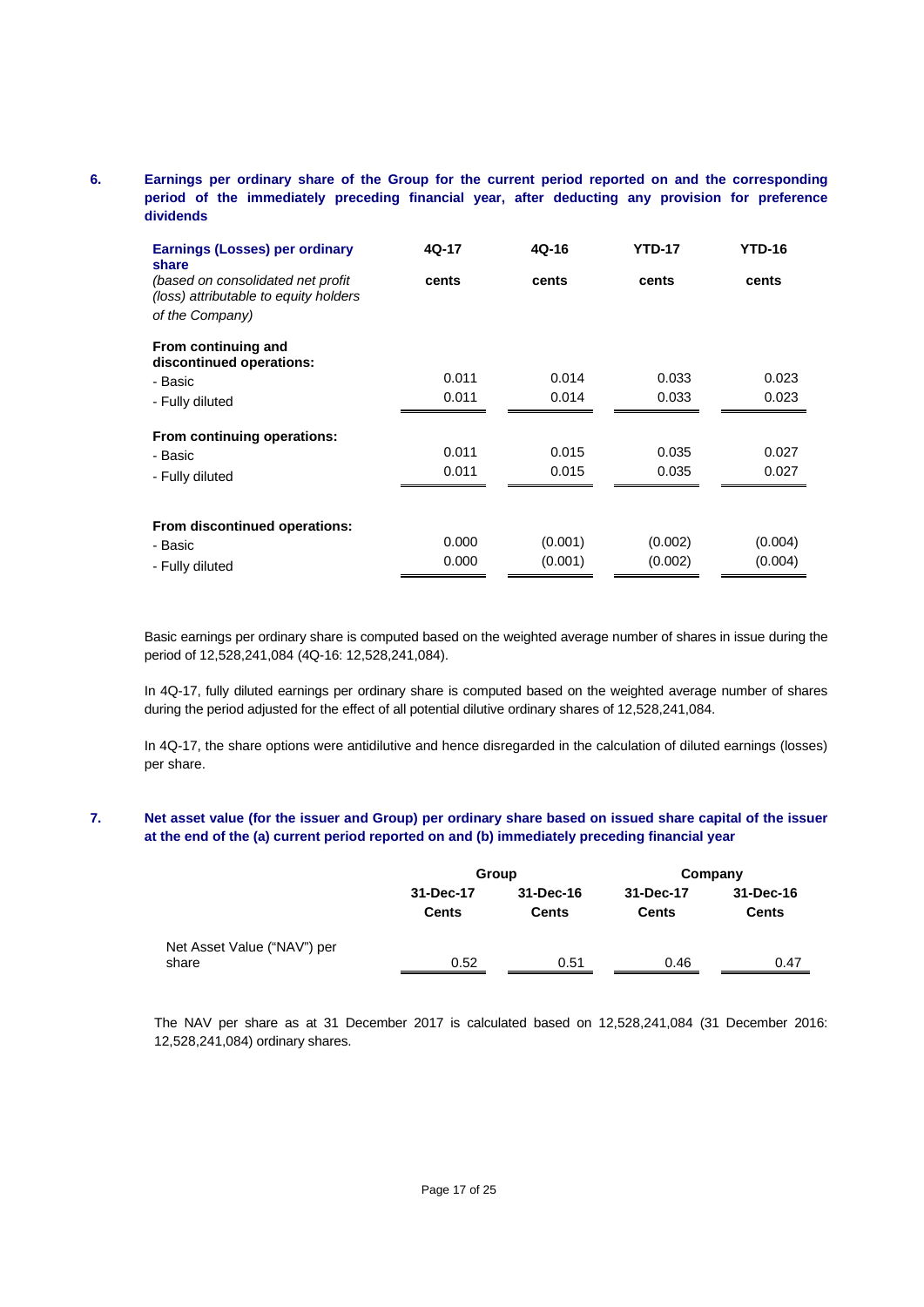# **6. Earnings per ordinary share of the Group for the current period reported on and the corresponding period of the immediately preceding financial year, after deducting any provision for preference dividends**

| <b>Earnings (Losses) per ordinary</b><br>share                                                 | 4Q-17 | $4Q - 16$ | <b>YTD-17</b> | <b>YTD-16</b> |
|------------------------------------------------------------------------------------------------|-------|-----------|---------------|---------------|
| (based on consolidated net profit)<br>(loss) attributable to equity holders<br>of the Company) | cents | cents     | cents         | cents         |
| From continuing and<br>discontinued operations:                                                |       |           |               |               |
| - Basic                                                                                        | 0.011 | 0.014     | 0.033         | 0.023         |
| - Fully diluted                                                                                | 0.011 | 0.014     | 0.033         | 0.023         |
| From continuing operations:                                                                    |       |           |               |               |
| - Basic                                                                                        | 0.011 | 0.015     | 0.035         | 0.027         |
| - Fully diluted                                                                                | 0.011 | 0.015     | 0.035         | 0.027         |
|                                                                                                |       |           |               |               |
| From discontinued operations:                                                                  |       |           |               |               |
| - Basic                                                                                        | 0.000 | (0.001)   | (0.002)       | (0.004)       |
| - Fully diluted                                                                                | 0.000 | (0.001)   | (0.002)       | (0.004)       |

Basic earnings per ordinary share is computed based on the weighted average number of shares in issue during the period of 12,528,241,084 (4Q-16: 12,528,241,084).

In 4Q-17, fully diluted earnings per ordinary share is computed based on the weighted average number of shares during the period adjusted for the effect of all potential dilutive ordinary shares of 12,528,241,084.

In 4Q-17, the share options were antidilutive and hence disregarded in the calculation of diluted earnings (losses) per share.

# **7. Net asset value (for the issuer and Group) per ordinary share based on issued share capital of the issuer at the end of the (a) current period reported on and (b) immediately preceding financial year**

|                             |              | Group        |              | Company      |  |
|-----------------------------|--------------|--------------|--------------|--------------|--|
|                             | 31-Dec-17    | 31-Dec-16    | 31-Dec-17    | 31-Dec-16    |  |
|                             | <b>Cents</b> | <b>Cents</b> | <b>Cents</b> | <b>Cents</b> |  |
| Net Asset Value ("NAV") per |              |              |              |              |  |
| share                       | 0.52         | 0.51         | 0.46         | 0.47         |  |

The NAV per share as at 31 December 2017 is calculated based on 12,528,241,084 (31 December 2016: 12,528,241,084) ordinary shares.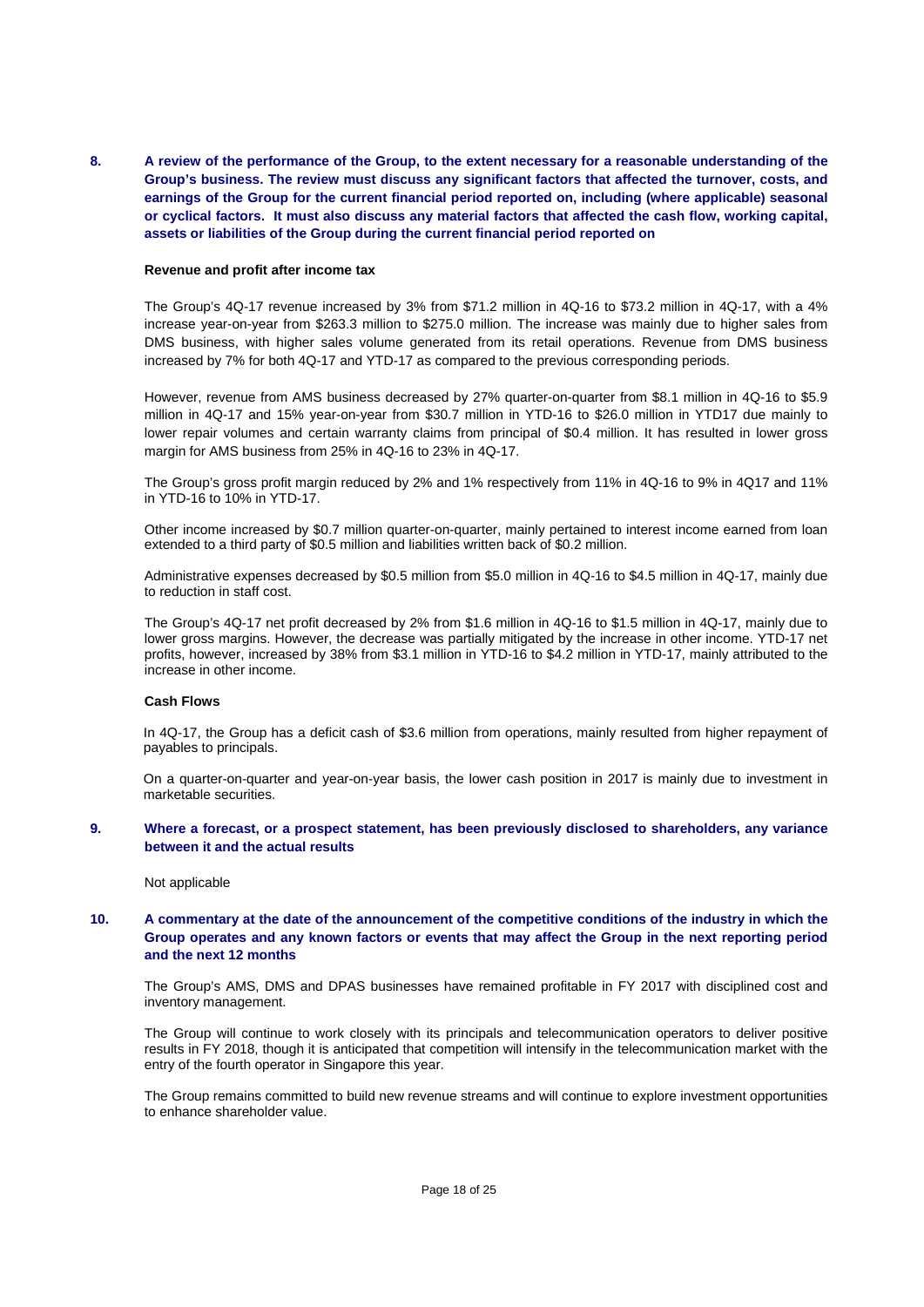**8. A review of the performance of the Group, to the extent necessary for a reasonable understanding of the Group's business. The review must discuss any significant factors that affected the turnover, costs, and earnings of the Group for the current financial period reported on, including (where applicable) seasonal or cyclical factors. It must also discuss any material factors that affected the cash flow, working capital, assets or liabilities of the Group during the current financial period reported on** 

#### **Revenue and profit after income tax**

The Group's 4Q-17 revenue increased by 3% from \$71.2 million in 4Q-16 to \$73.2 million in 4Q-17, with a 4% increase year-on-year from \$263.3 million to \$275.0 million. The increase was mainly due to higher sales from DMS business, with higher sales volume generated from its retail operations. Revenue from DMS business increased by 7% for both 4Q-17 and YTD-17 as compared to the previous corresponding periods.

However, revenue from AMS business decreased by 27% quarter-on-quarter from \$8.1 million in 4Q-16 to \$5.9 million in 4Q-17 and 15% year-on-year from \$30.7 million in YTD-16 to \$26.0 million in YTD17 due mainly to lower repair volumes and certain warranty claims from principal of \$0.4 million. It has resulted in lower gross margin for AMS business from 25% in 4Q-16 to 23% in 4Q-17.

The Group's gross profit margin reduced by 2% and 1% respectively from 11% in 4Q-16 to 9% in 4Q17 and 11% in YTD-16 to 10% in YTD-17.

Other income increased by \$0.7 million quarter-on-quarter, mainly pertained to interest income earned from loan extended to a third party of \$0.5 million and liabilities written back of \$0.2 million.

Administrative expenses decreased by \$0.5 million from \$5.0 million in 4Q-16 to \$4.5 million in 4Q-17, mainly due to reduction in staff cost.

The Group's 4Q-17 net profit decreased by 2% from \$1.6 million in 4Q-16 to \$1.5 million in 4Q-17, mainly due to lower gross margins. However, the decrease was partially mitigated by the increase in other income. YTD-17 net profits, however, increased by 38% from \$3.1 million in YTD-16 to \$4.2 million in YTD-17, mainly attributed to the increase in other income.

### **Cash Flows**

In 4Q-17, the Group has a deficit cash of \$3.6 million from operations, mainly resulted from higher repayment of payables to principals.

On a quarter-on-quarter and year-on-year basis, the lower cash position in 2017 is mainly due to investment in marketable securities.

## **9. Where a forecast, or a prospect statement, has been previously disclosed to shareholders, any variance between it and the actual results**

Not applicable

## **10. A commentary at the date of the announcement of the competitive conditions of the industry in which the Group operates and any known factors or events that may affect the Group in the next reporting period and the next 12 months**

The Group's AMS, DMS and DPAS businesses have remained profitable in FY 2017 with disciplined cost and inventory management.

The Group will continue to work closely with its principals and telecommunication operators to deliver positive results in FY 2018, though it is anticipated that competition will intensify in the telecommunication market with the entry of the fourth operator in Singapore this year.

The Group remains committed to build new revenue streams and will continue to explore investment opportunities to enhance shareholder value.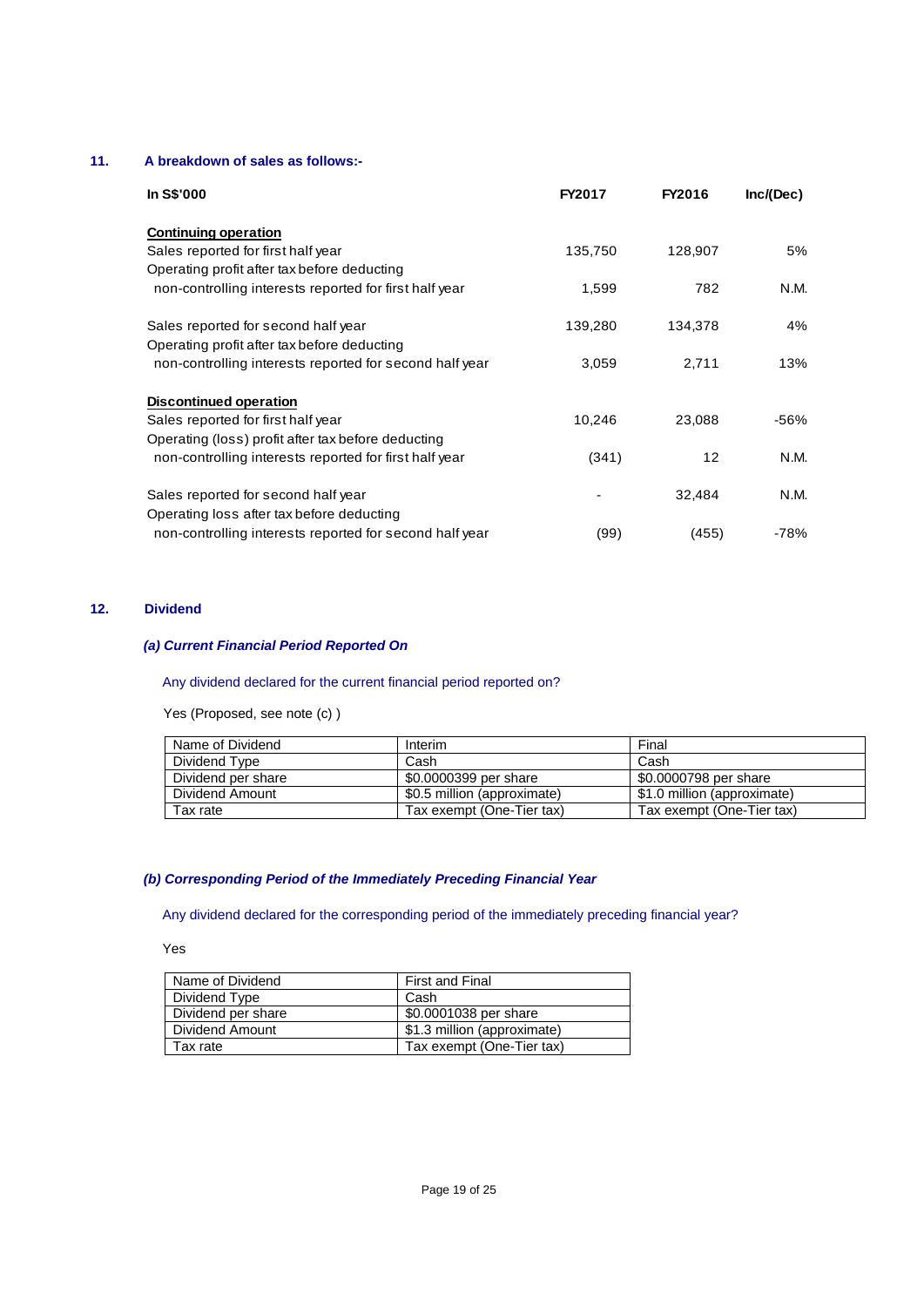# **11. A breakdown of sales as follows:-**

| In S\$'000                                              | FY2017  | FY2016  | Inc/(Dec) |
|---------------------------------------------------------|---------|---------|-----------|
| <b>Continuing operation</b>                             |         |         |           |
| Sales reported for first half year                      | 135,750 | 128,907 | 5%        |
| Operating profit after tax before deducting             |         |         |           |
| non-controlling interests reported for first half year  | 1,599   | 782     | N.M.      |
| Sales reported for second half year                     | 139,280 | 134,378 | 4%        |
| Operating profit after tax before deducting             |         |         |           |
| non-controlling interests reported for second half year | 3,059   | 2,711   | 13%       |
| <b>Discontinued operation</b>                           |         |         |           |
| Sales reported for first half year                      | 10,246  | 23,088  | -56%      |
| Operating (loss) profit after tax before deducting      |         |         |           |
| non-controlling interests reported for first half year  | (341)   | 12      | N.M.      |
| Sales reported for second half year                     |         | 32,484  | N.M.      |
| Operating loss after tax before deducting               |         |         |           |
| non-controlling interests reported for second half year | (99)    | (455)   | -78%      |

# **12. Dividend**

# *(a) Current Financial Period Reported On*

# Any dividend declared for the current financial period reported on?

Yes (Proposed, see note (c) )

| Name of Dividend   | Interim                     | Final                       |
|--------------------|-----------------------------|-----------------------------|
| Dividend Type      | Cash                        | Cash                        |
| Dividend per share | \$0,0000399 per share       | \$0,0000798 per share       |
| Dividend Amount    | \$0.5 million (approximate) | \$1.0 million (approximate) |
| Tax rate           | Tax exempt (One-Tier tax)   | Tax exempt (One-Tier tax)   |

# *(b) Corresponding Period of the Immediately Preceding Financial Year*

# Any dividend declared for the corresponding period of the immediately preceding financial year?

Yes

| Name of Dividend   | <b>First and Final</b>      |
|--------------------|-----------------------------|
| Dividend Type      | Cash                        |
| Dividend per share | \$0.0001038 per share       |
| Dividend Amount    | \$1.3 million (approximate) |
| Tax rate           | Tax exempt (One-Tier tax)   |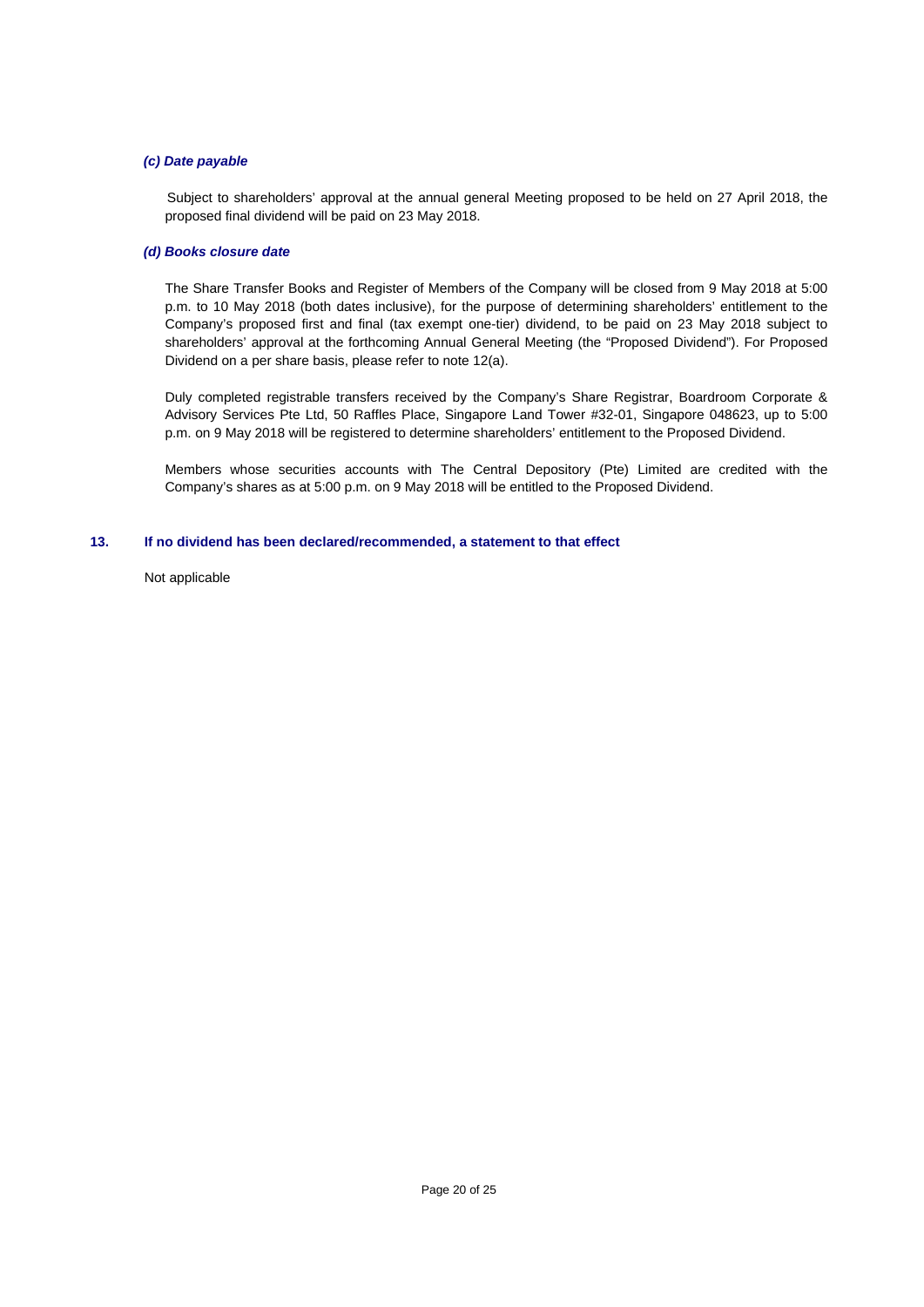## *(c) Date payable*

 Subject to shareholders' approval at the annual general Meeting proposed to be held on 27 April 2018, the proposed final dividend will be paid on 23 May 2018.

## *(d) Books closure date*

The Share Transfer Books and Register of Members of the Company will be closed from 9 May 2018 at 5:00 p.m. to 10 May 2018 (both dates inclusive), for the purpose of determining shareholders' entitlement to the Company's proposed first and final (tax exempt one-tier) dividend, to be paid on 23 May 2018 subject to shareholders' approval at the forthcoming Annual General Meeting (the "Proposed Dividend"). For Proposed Dividend on a per share basis, please refer to note 12(a).

Duly completed registrable transfers received by the Company's Share Registrar, Boardroom Corporate & Advisory Services Pte Ltd, 50 Raffles Place, Singapore Land Tower #32-01, Singapore 048623, up to 5:00 p.m. on 9 May 2018 will be registered to determine shareholders' entitlement to the Proposed Dividend.

Members whose securities accounts with The Central Depository (Pte) Limited are credited with the Company's shares as at 5:00 p.m. on 9 May 2018 will be entitled to the Proposed Dividend.

# **13. If no dividend has been declared/recommended, a statement to that effect**

Not applicable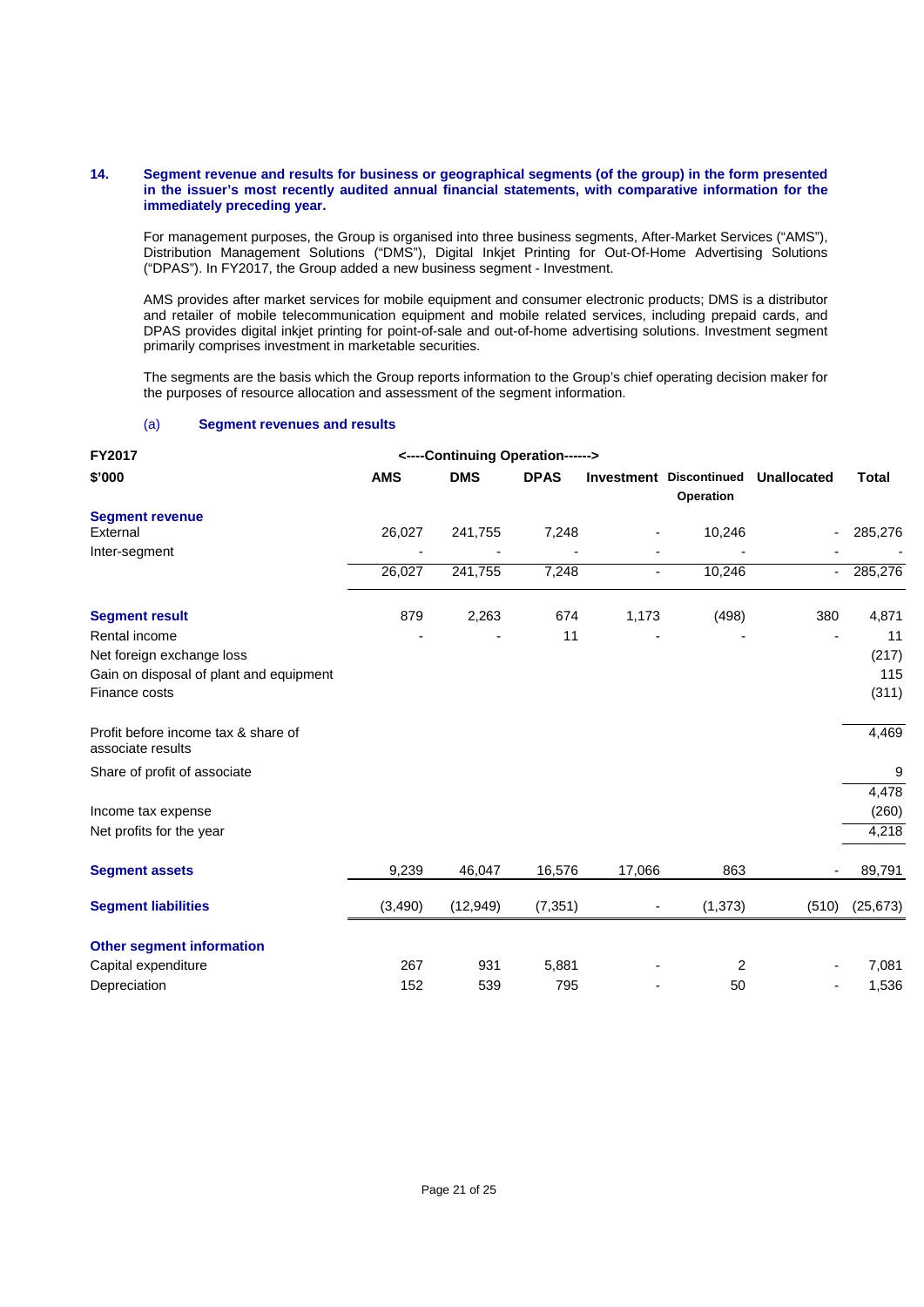### **14. Segment revenue and results for business or geographical segments (of the group) in the form presented in the issuer's most recently audited annual financial statements, with comparative information for the immediately preceding year.**

For management purposes, the Group is organised into three business segments, After-Market Services ("AMS"), Distribution Management Solutions ("DMS"), Digital Inkjet Printing for Out-Of-Home Advertising Solutions ("DPAS"). In FY2017, the Group added a new business segment - Investment.

 AMS provides after market services for mobile equipment and consumer electronic products; DMS is a distributor and retailer of mobile telecommunication equipment and mobile related services, including prepaid cards, and DPAS provides digital inkjet printing for point-of-sale and out-of-home advertising solutions. Investment segment primarily comprises investment in marketable securities.

 The segments are the basis which the Group reports information to the Group's chief operating decision maker for the purposes of resource allocation and assessment of the segment information.

## (a) **Segment revenues and results**

| <b>FY2017</b><br><----Continuing Operation------>        |            |            |             |                          |                                             |                          |              |
|----------------------------------------------------------|------------|------------|-------------|--------------------------|---------------------------------------------|--------------------------|--------------|
| \$'000                                                   | <b>AMS</b> | <b>DMS</b> | <b>DPAS</b> |                          | <b>Investment Discontinued</b><br>Operation | <b>Unallocated</b>       | <b>Total</b> |
| <b>Segment revenue</b>                                   |            |            |             |                          |                                             |                          |              |
| External                                                 | 26,027     | 241,755    | 7,248       |                          | 10,246                                      | $\overline{\phantom{a}}$ | 285,276      |
| Inter-segment                                            |            |            |             |                          |                                             |                          |              |
|                                                          | 26,027     | 241,755    | 7,248       | $\overline{\phantom{a}}$ | 10,246                                      | $\blacksquare$           | 285,276      |
| <b>Segment result</b>                                    | 879        | 2,263      | 674         | 1,173                    | (498)                                       | 380                      | 4,871        |
| Rental income                                            |            |            | 11          |                          |                                             |                          | 11           |
| Net foreign exchange loss                                |            |            |             |                          |                                             |                          | (217)        |
| Gain on disposal of plant and equipment                  |            |            |             |                          |                                             |                          | 115          |
| Finance costs                                            |            |            |             |                          |                                             |                          | (311)        |
| Profit before income tax & share of<br>associate results |            |            |             |                          |                                             |                          | 4,469        |
| Share of profit of associate                             |            |            |             |                          |                                             |                          | 9            |
|                                                          |            |            |             |                          |                                             |                          | 4,478        |
| Income tax expense                                       |            |            |             |                          |                                             |                          | (260)        |
| Net profits for the year                                 |            |            |             |                          |                                             |                          | 4,218        |
| <b>Segment assets</b>                                    | 9,239      | 46,047     | 16,576      | 17,066                   | 863                                         |                          | 89,791       |
| <b>Segment liabilities</b>                               | (3, 490)   | (12, 949)  | (7, 351)    | $\overline{\phantom{a}}$ | (1, 373)                                    | (510)                    | (25, 673)    |
| <b>Other segment information</b>                         |            |            |             |                          |                                             |                          |              |
| Capital expenditure                                      | 267        | 931        | 5,881       |                          | 2                                           |                          | 7,081        |
| Depreciation                                             | 152        | 539        | 795         |                          | 50                                          |                          | 1,536        |
|                                                          |            |            |             |                          |                                             |                          |              |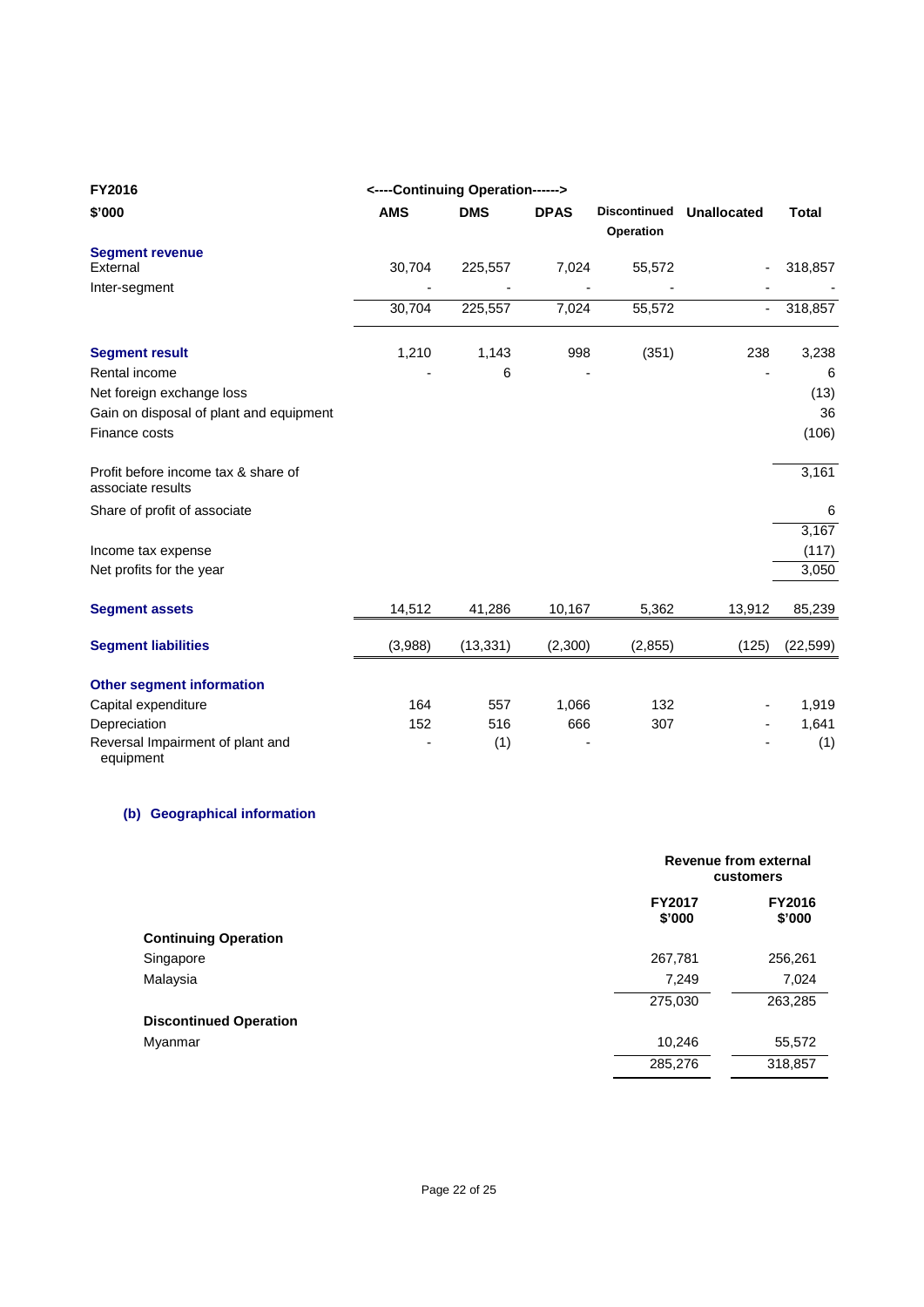| FY2016                                                   | <----Continuing Operation------> |            |             |                                  |                    |              |  |
|----------------------------------------------------------|----------------------------------|------------|-------------|----------------------------------|--------------------|--------------|--|
| \$'000                                                   | <b>AMS</b>                       | <b>DMS</b> | <b>DPAS</b> | <b>Discontinued</b><br>Operation | <b>Unallocated</b> | <b>Total</b> |  |
| <b>Segment revenue</b>                                   |                                  |            |             |                                  |                    |              |  |
| External                                                 | 30,704                           | 225,557    | 7,024       | 55,572                           |                    | 318,857      |  |
| Inter-segment                                            |                                  |            |             |                                  |                    |              |  |
|                                                          | 30,704                           | 225,557    | 7,024       | 55,572                           | Ξ.                 | 318,857      |  |
| <b>Segment result</b>                                    | 1,210                            | 1,143      | 998         | (351)                            | 238                | 3,238        |  |
| Rental income                                            |                                  | 6          |             |                                  |                    | 6            |  |
| Net foreign exchange loss                                |                                  |            |             |                                  |                    | (13)         |  |
| Gain on disposal of plant and equipment                  |                                  |            |             |                                  |                    | 36           |  |
| Finance costs                                            |                                  |            |             |                                  |                    | (106)        |  |
| Profit before income tax & share of<br>associate results |                                  |            |             |                                  |                    | 3,161        |  |
| Share of profit of associate                             |                                  |            |             |                                  |                    | 6            |  |
|                                                          |                                  |            |             |                                  |                    | 3,167        |  |
| Income tax expense                                       |                                  |            |             |                                  |                    | (117)        |  |
| Net profits for the year                                 |                                  |            |             |                                  |                    | 3,050        |  |
| <b>Segment assets</b>                                    | 14,512                           | 41,286     | 10,167      | 5,362                            | 13,912             | 85,239       |  |
| <b>Segment liabilities</b>                               | (3,988)                          | (13, 331)  | (2,300)     | (2,855)                          | (125)              | (22, 599)    |  |
| <b>Other segment information</b>                         |                                  |            |             |                                  |                    |              |  |
| Capital expenditure                                      | 164                              | 557        | 1,066       | 132                              |                    | 1,919        |  |
| Depreciation                                             | 152                              | 516        | 666         | 307                              |                    | 1,641        |  |
| Reversal Impairment of plant and<br>equipment            |                                  | (1)        |             |                                  |                    | (1)          |  |

# **(b) Geographical information**

|                               |                         | Revenue from external<br>customers |  |  |
|-------------------------------|-------------------------|------------------------------------|--|--|
|                               | <b>FY2017</b><br>\$'000 | <b>FY2016</b><br>\$'000            |  |  |
| <b>Continuing Operation</b>   |                         |                                    |  |  |
| Singapore                     | 267,781                 | 256,261                            |  |  |
| Malaysia                      | 7,249                   | 7,024                              |  |  |
|                               | 275,030                 | 263,285                            |  |  |
| <b>Discontinued Operation</b> |                         |                                    |  |  |
| Myanmar                       | 10,246                  | 55,572                             |  |  |
|                               | 285,276                 | 318,857                            |  |  |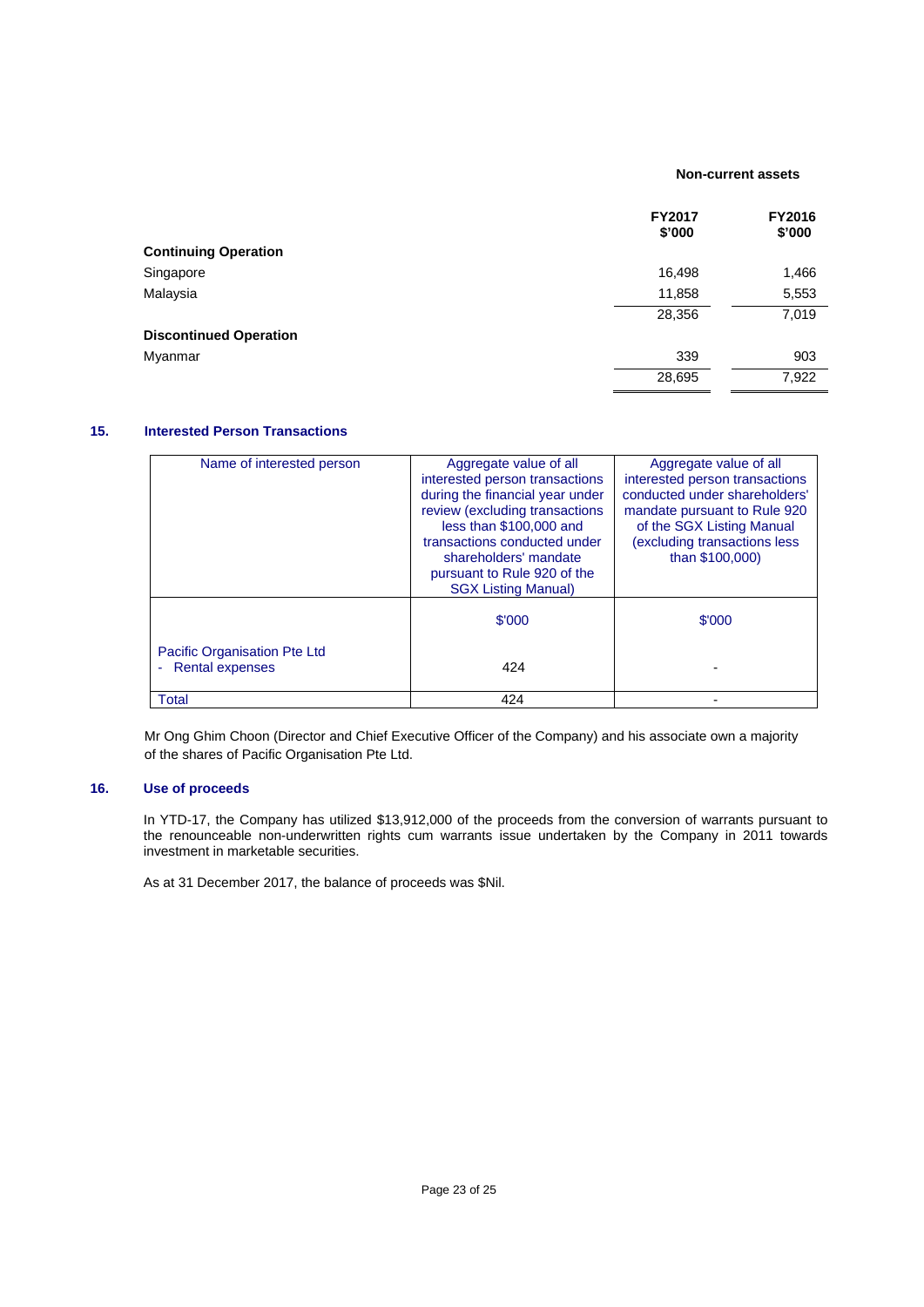#### **Non-current assets**

|                               | <b>FY2017</b><br>\$'000 | <b>FY2016</b><br>\$'000 |
|-------------------------------|-------------------------|-------------------------|
| <b>Continuing Operation</b>   |                         |                         |
| Singapore                     | 16,498                  | 1,466                   |
| Malaysia                      | 11,858                  | 5,553                   |
|                               | 28,356                  | 7,019                   |
| <b>Discontinued Operation</b> |                         |                         |
| Myanmar                       | 339                     | 903                     |
|                               | 28,695                  | 7,922                   |
|                               |                         |                         |

# **15. Interested Person Transactions**

| Name of interested person                                   | Aggregate value of all<br>interested person transactions<br>during the financial year under<br>review (excluding transactions<br>less than \$100,000 and<br>transactions conducted under<br>shareholders' mandate<br>pursuant to Rule 920 of the<br><b>SGX Listing Manual)</b> | Aggregate value of all<br>interested person transactions<br>conducted under shareholders'<br>mandate pursuant to Rule 920<br>of the SGX Listing Manual<br>(excluding transactions less<br>than \$100,000) |
|-------------------------------------------------------------|--------------------------------------------------------------------------------------------------------------------------------------------------------------------------------------------------------------------------------------------------------------------------------|-----------------------------------------------------------------------------------------------------------------------------------------------------------------------------------------------------------|
|                                                             | \$'000                                                                                                                                                                                                                                                                         | \$'000                                                                                                                                                                                                    |
| Pacific Organisation Pte Ltd<br><b>Rental expenses</b><br>٠ | 424                                                                                                                                                                                                                                                                            |                                                                                                                                                                                                           |
| Total                                                       | 424                                                                                                                                                                                                                                                                            |                                                                                                                                                                                                           |

Mr Ong Ghim Choon (Director and Chief Executive Officer of the Company) and his associate own a majority of the shares of Pacific Organisation Pte Ltd.

## **16. Use of proceeds**

In YTD-17, the Company has utilized \$13,912,000 of the proceeds from the conversion of warrants pursuant to the renounceable non-underwritten rights cum warrants issue undertaken by the Company in 2011 towards investment in marketable securities.

As at 31 December 2017, the balance of proceeds was \$Nil.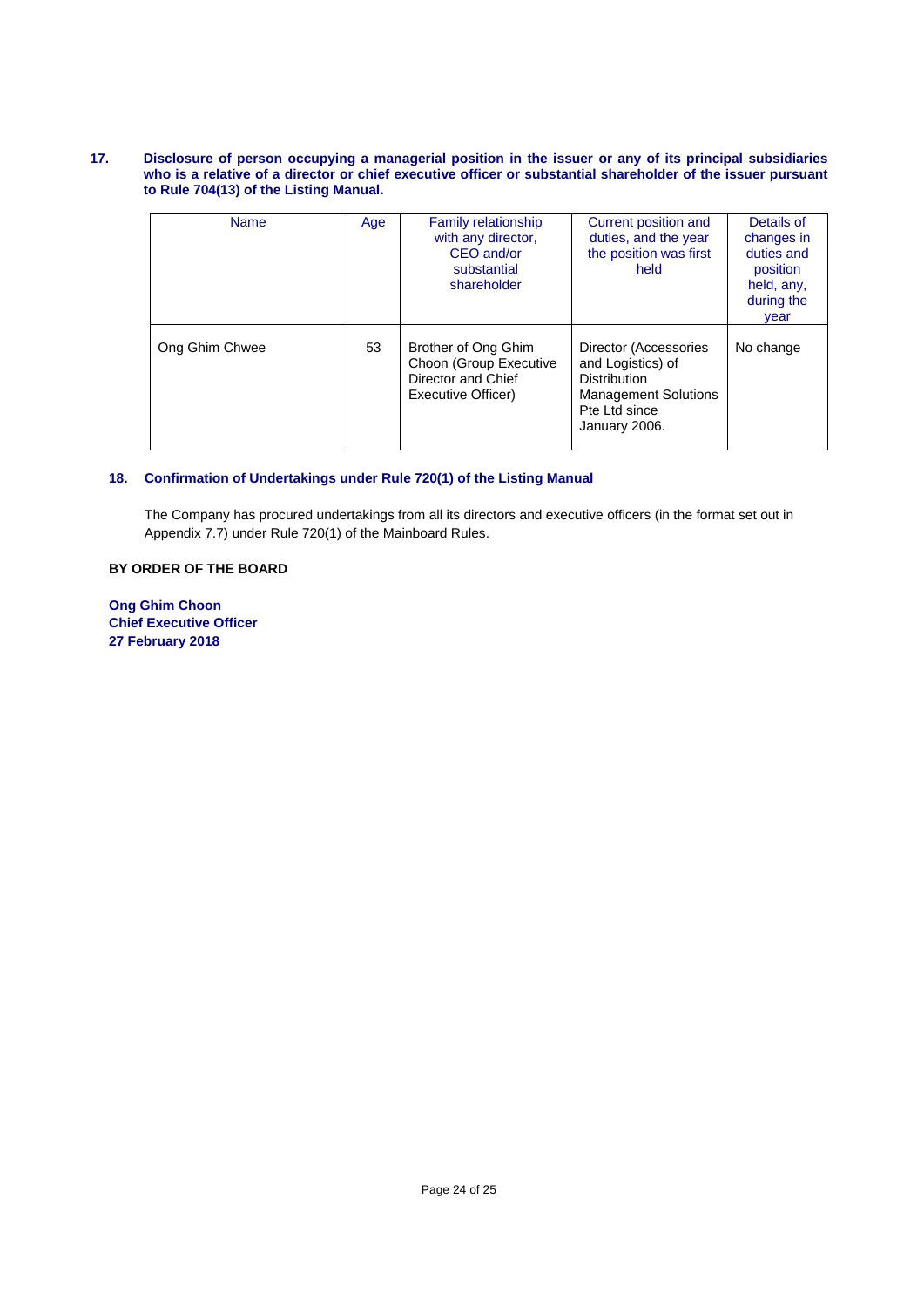### **17. Disclosure of person occupying a managerial position in the issuer or any of its principal subsidiaries who is a relative of a director or chief executive officer or substantial shareholder of the issuer pursuant to Rule 704(13) of the Listing Manual.**

| Name           | Age | <b>Family relationship</b><br>with any director,<br>CEO and/or<br>substantial<br>shareholder | Current position and<br>duties, and the year<br>the position was first<br>held                                                     | Details of<br>changes in<br>duties and<br>position<br>held, any,<br>during the<br>year |
|----------------|-----|----------------------------------------------------------------------------------------------|------------------------------------------------------------------------------------------------------------------------------------|----------------------------------------------------------------------------------------|
| Ong Ghim Chwee | 53  | Brother of Ong Ghim<br>Choon (Group Executive<br>Director and Chief<br>Executive Officer)    | Director (Accessories<br>and Logistics) of<br><b>Distribution</b><br><b>Management Solutions</b><br>Pte Ltd since<br>January 2006. | No change                                                                              |

# **18. Confirmation of Undertakings under Rule 720(1) of the Listing Manual**

The Company has procured undertakings from all its directors and executive officers (in the format set out in Appendix 7.7) under Rule 720(1) of the Mainboard Rules.

# **BY ORDER OF THE BOARD**

**Ong Ghim Choon Chief Executive Officer 27 February 2018**